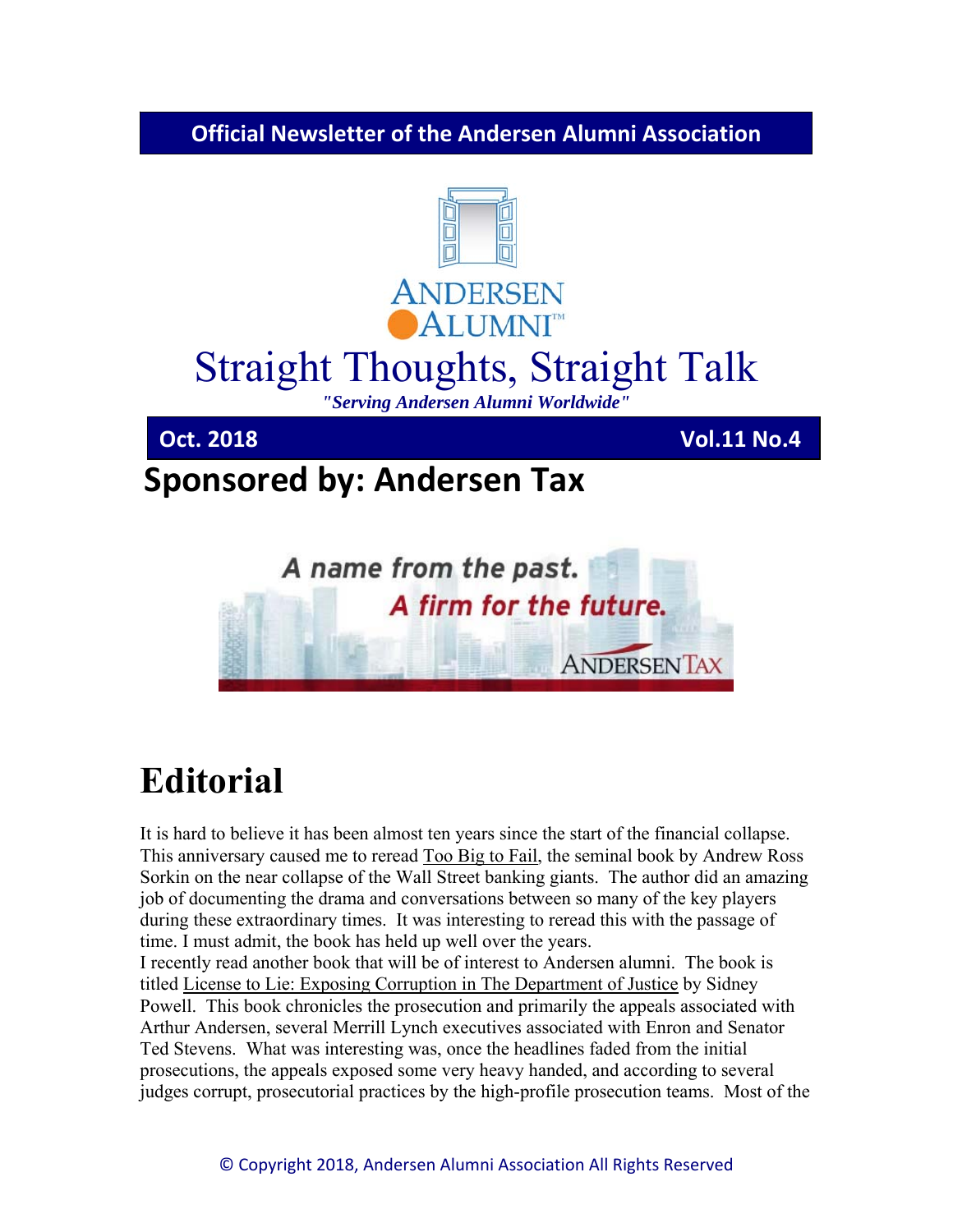**Official Newsletter of the Andersen Alumni Association**



# **Editorial**

It is hard to believe it has been almost ten years since the start of the financial collapse. This anniversary caused me to reread Too Big to Fail, the seminal book by Andrew Ross Sorkin on the near collapse of the Wall Street banking giants. The author did an amazing job of documenting the drama and conversations between so many of the key players during these extraordinary times. It was interesting to reread this with the passage of time. I must admit, the book has held up well over the years.

I recently read another book that will be of interest to Andersen alumni. The book is titled License to Lie: Exposing Corruption in The Department of Justice by Sidney Powell. This book chronicles the prosecution and primarily the appeals associated with Arthur Andersen, several Merrill Lynch executives associated with Enron and Senator Ted Stevens. What was interesting was, once the headlines faded from the initial prosecutions, the appeals exposed some very heavy handed, and according to several judges corrupt, prosecutorial practices by the high-profile prosecution teams. Most of the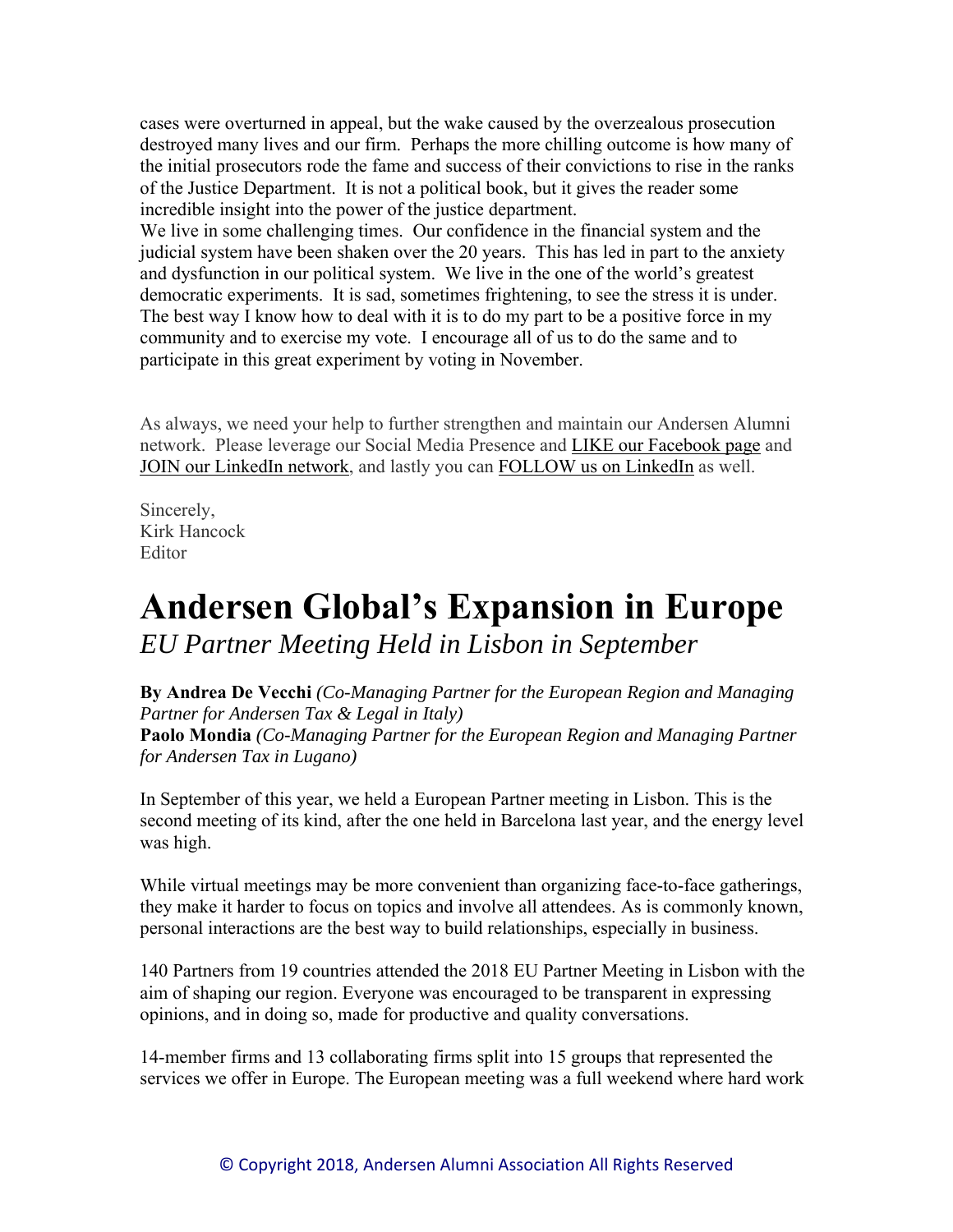cases were overturned in appeal, but the wake caused by the overzealous prosecution destroyed many lives and our firm. Perhaps the more chilling outcome is how many of the initial prosecutors rode the fame and success of their convictions to rise in the ranks of the Justice Department. It is not a political book, but it gives the reader some incredible insight into the power of the justice department.

We live in some challenging times. Our confidence in the financial system and the judicial system have been shaken over the 20 years. This has led in part to the anxiety and dysfunction in our political system. We live in the one of the world's greatest democratic experiments. It is sad, sometimes frightening, to see the stress it is under. The best way I know how to deal with it is to do my part to be a positive force in my community and to exercise my vote. I encourage all of us to do the same and to participate in this great experiment by voting in November.

As always, we need your help to further strengthen and maintain our Andersen Alumni network. Please leverage our Social Media Presence and LIKE our Facebook page and JOIN our LinkedIn network, and lastly you can FOLLOW us on LinkedIn as well.

Sincerely, Kirk Hancock Editor

### **Andersen Global's Expansion in Europe**  *EU Partner Meeting Held in Lisbon in September*

**By Andrea De Vecchi** *(Co-Managing Partner for the European Region and Managing Partner for Andersen Tax & Legal in Italy)* 

**Paolo Mondia** *(Co-Managing Partner for the European Region and Managing Partner for Andersen Tax in Lugano)* 

In September of this year, we held a European Partner meeting in Lisbon. This is the second meeting of its kind, after the one held in Barcelona last year, and the energy level was high.

While virtual meetings may be more convenient than organizing face-to-face gatherings, they make it harder to focus on topics and involve all attendees. As is commonly known, personal interactions are the best way to build relationships, especially in business.

140 Partners from 19 countries attended the 2018 EU Partner Meeting in Lisbon with the aim of shaping our region. Everyone was encouraged to be transparent in expressing opinions, and in doing so, made for productive and quality conversations.

14-member firms and 13 collaborating firms split into 15 groups that represented the services we offer in Europe. The European meeting was a full weekend where hard work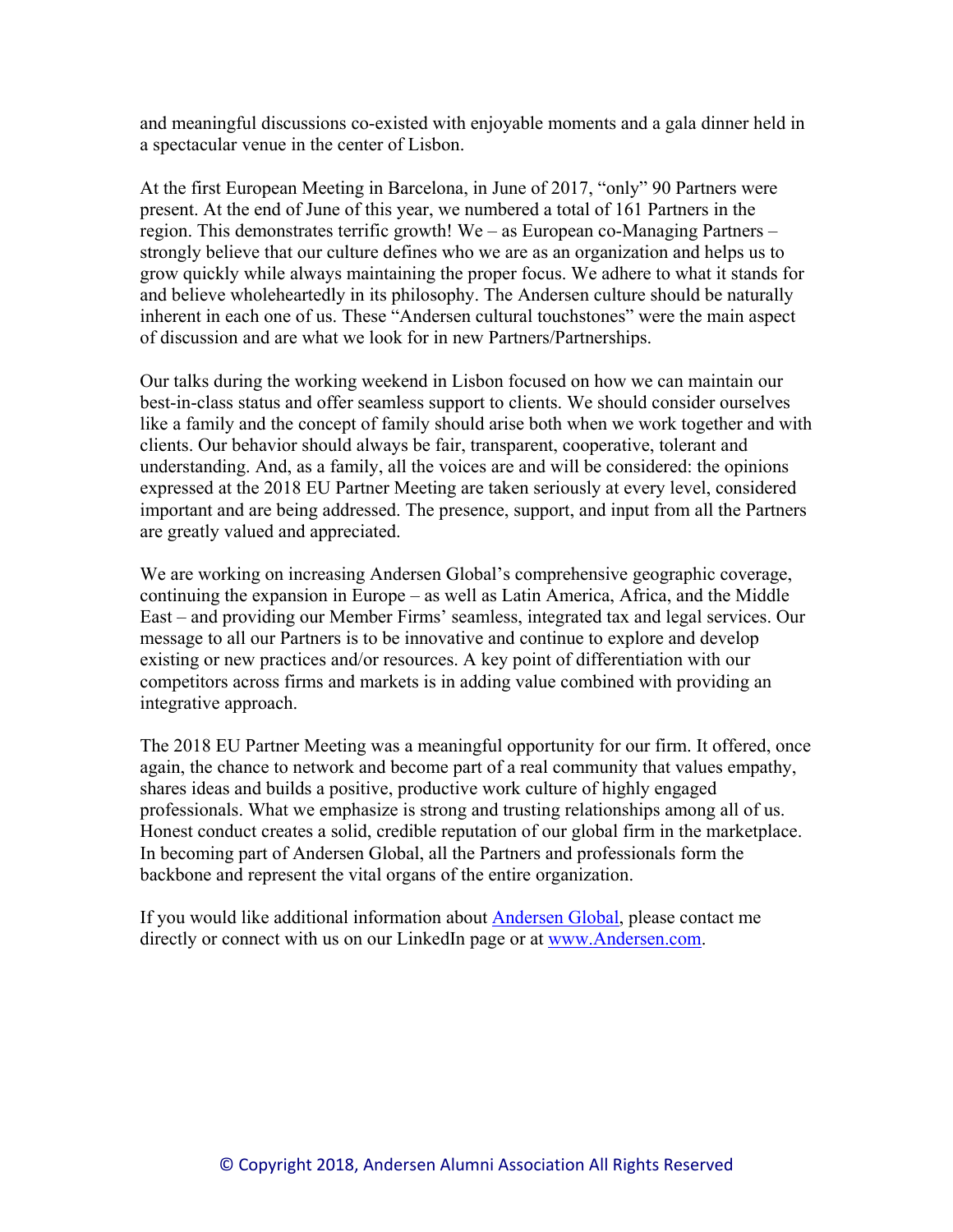and meaningful discussions co-existed with enjoyable moments and a gala dinner held in a spectacular venue in the center of Lisbon.

At the first European Meeting in Barcelona, in June of 2017, "only" 90 Partners were present. At the end of June of this year, we numbered a total of 161 Partners in the region. This demonstrates terrific growth! We – as European co-Managing Partners – strongly believe that our culture defines who we are as an organization and helps us to grow quickly while always maintaining the proper focus. We adhere to what it stands for and believe wholeheartedly in its philosophy. The Andersen culture should be naturally inherent in each one of us. These "Andersen cultural touchstones" were the main aspect of discussion and are what we look for in new Partners/Partnerships.

Our talks during the working weekend in Lisbon focused on how we can maintain our best-in-class status and offer seamless support to clients. We should consider ourselves like a family and the concept of family should arise both when we work together and with clients. Our behavior should always be fair, transparent, cooperative, tolerant and understanding. And, as a family, all the voices are and will be considered: the opinions expressed at the 2018 EU Partner Meeting are taken seriously at every level, considered important and are being addressed. The presence, support, and input from all the Partners are greatly valued and appreciated.

We are working on increasing Andersen Global's comprehensive geographic coverage, continuing the expansion in Europe – as well as Latin America, Africa, and the Middle East – and providing our Member Firms' seamless, integrated tax and legal services. Our message to all our Partners is to be innovative and continue to explore and develop existing or new practices and/or resources. A key point of differentiation with our competitors across firms and markets is in adding value combined with providing an integrative approach.

The 2018 EU Partner Meeting was a meaningful opportunity for our firm. It offered, once again, the chance to network and become part of a real community that values empathy, shares ideas and builds a positive, productive work culture of highly engaged professionals. What we emphasize is strong and trusting relationships among all of us. Honest conduct creates a solid, credible reputation of our global firm in the marketplace. In becoming part of Andersen Global, all the Partners and professionals form the backbone and represent the vital organs of the entire organization.

If you would like additional information about Andersen Global, please contact me directly or connect with us on our LinkedIn page or at www.Andersen.com.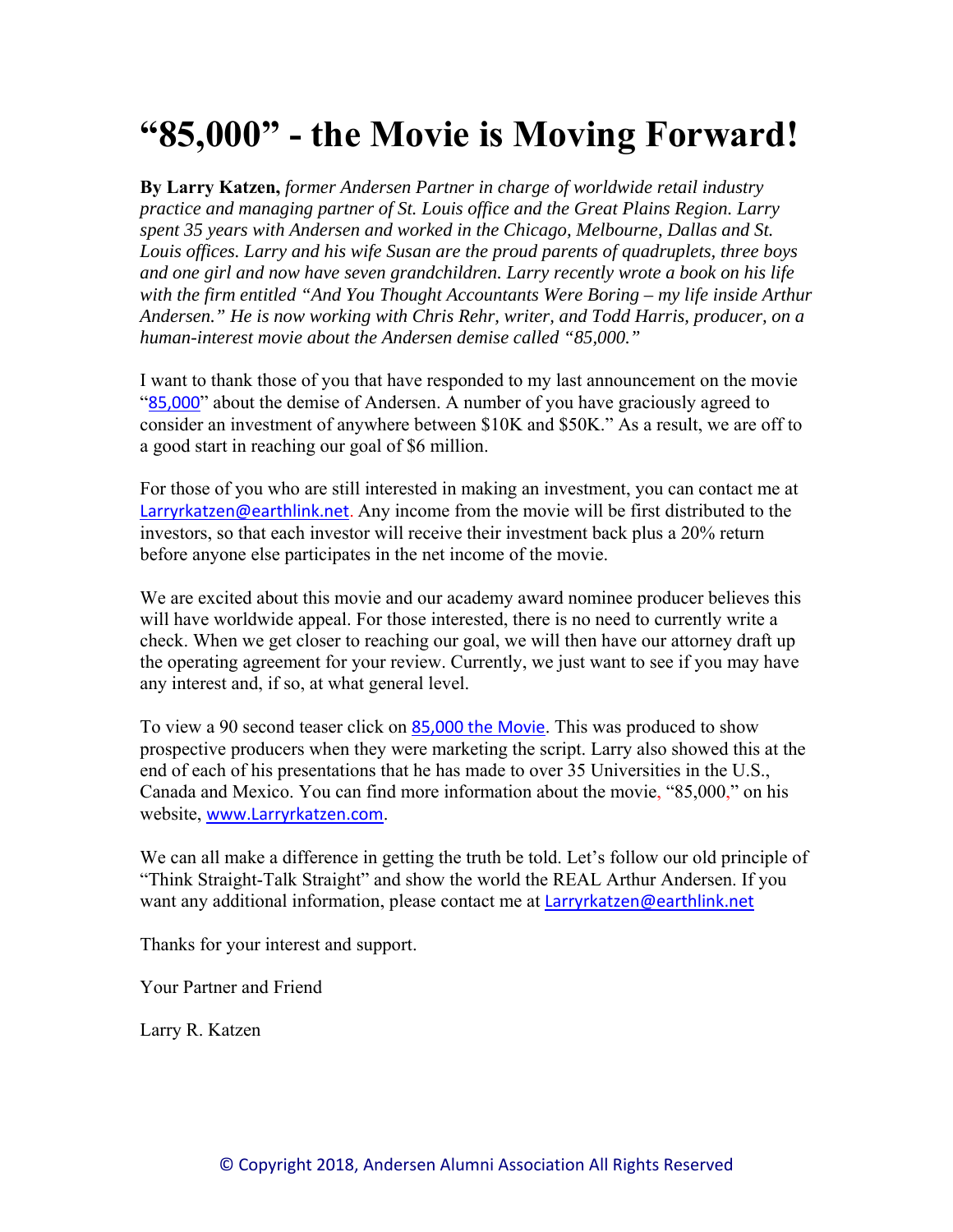# **"85,000" - the Movie is Moving Forward!**

**By Larry Katzen,** *former Andersen Partner in charge of worldwide retail industry practice and managing partner of St. Louis office and the Great Plains Region. Larry spent 35 years with Andersen and worked in the Chicago, Melbourne, Dallas and St. Louis offices. Larry and his wife Susan are the proud parents of quadruplets, three boys and one girl and now have seven grandchildren. Larry recently wrote a book on his life with the firm entitled "And You Thought Accountants Were Boring – my life inside Arthur Andersen." He is now working with Chris Rehr, writer, and Todd Harris, producer, on a human-interest movie about the Andersen demise called "85,000."* 

I want to thank those of you that have responded to my last announcement on the movie "85,000" about the demise of Andersen. A number of you have graciously agreed to consider an investment of anywhere between \$10K and \$50K." As a result, we are off to a good start in reaching our goal of \$6 million.

For those of you who are still interested in making an investment, you can contact me at Larryrkatzen@earthlink.net. Any income from the movie will be first distributed to the investors, so that each investor will receive their investment back plus a 20% return before anyone else participates in the net income of the movie.

We are excited about this movie and our academy award nominee producer believes this will have worldwide appeal. For those interested, there is no need to currently write a check. When we get closer to reaching our goal, we will then have our attorney draft up the operating agreement for your review. Currently, we just want to see if you may have any interest and, if so, at what general level.

To view a 90 second teaser click on 85,000 the Movie. This was produced to show prospective producers when they were marketing the script. Larry also showed this at the end of each of his presentations that he has made to over 35 Universities in the U.S., Canada and Mexico. You can find more information about the movie, "85,000," on his website, www.Larryrkatzen.com.

We can all make a difference in getting the truth be told. Let's follow our old principle of "Think Straight-Talk Straight" and show the world the REAL Arthur Andersen. If you want any additional information, please contact me at Larryrkatzen@earthlink.net

Thanks for your interest and support.

Your Partner and Friend

Larry R. Katzen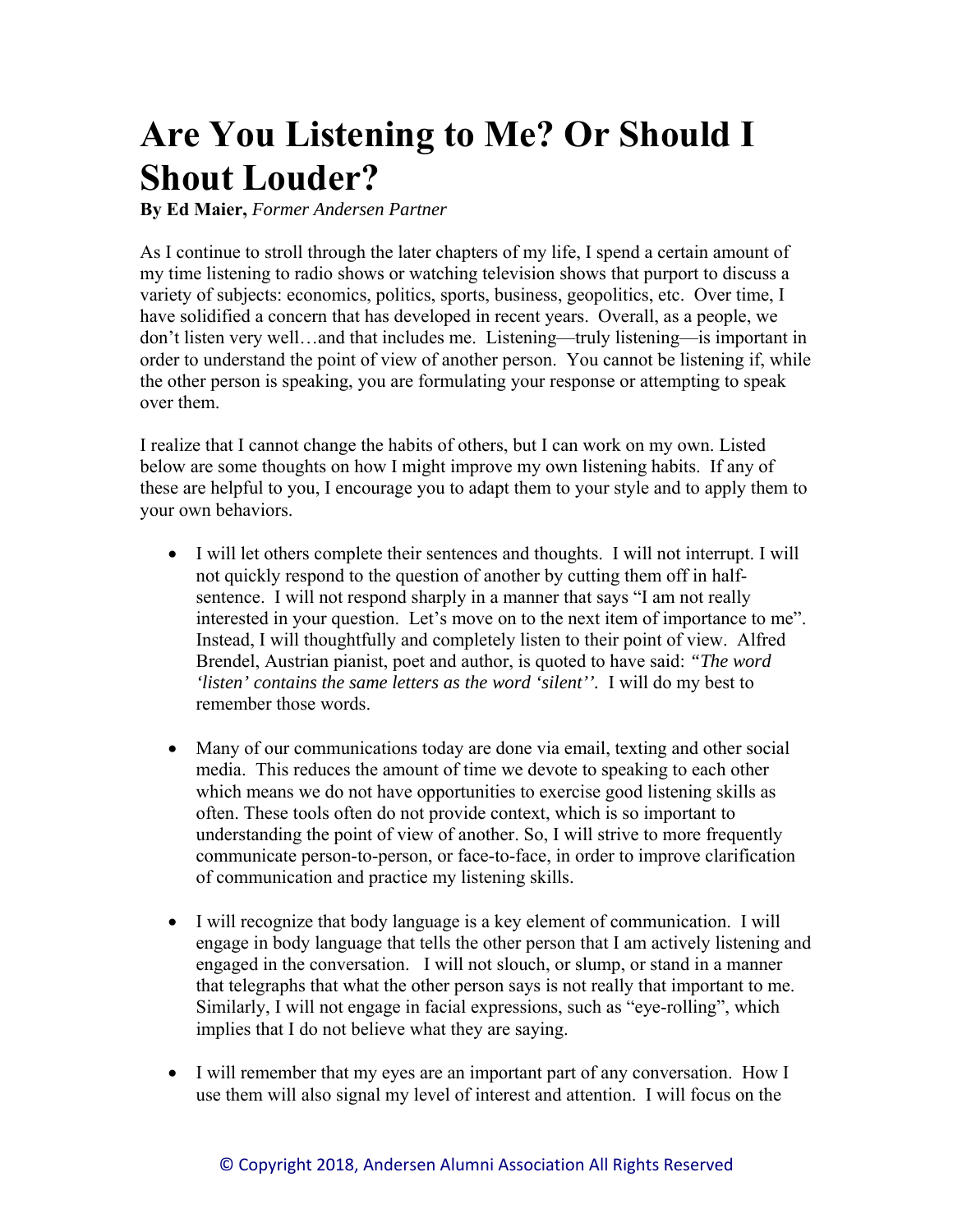# **Are You Listening to Me? Or Should I Shout Louder?**

**By Ed Maier,** *Former Andersen Partner* 

As I continue to stroll through the later chapters of my life, I spend a certain amount of my time listening to radio shows or watching television shows that purport to discuss a variety of subjects: economics, politics, sports, business, geopolitics, etc. Over time, I have solidified a concern that has developed in recent years. Overall, as a people, we don't listen very well…and that includes me. Listening—truly listening—is important in order to understand the point of view of another person. You cannot be listening if, while the other person is speaking, you are formulating your response or attempting to speak over them.

I realize that I cannot change the habits of others, but I can work on my own. Listed below are some thoughts on how I might improve my own listening habits. If any of these are helpful to you, I encourage you to adapt them to your style and to apply them to your own behaviors.

- I will let others complete their sentences and thoughts. I will not interrupt. I will not quickly respond to the question of another by cutting them off in halfsentence. I will not respond sharply in a manner that says "I am not really interested in your question. Let's move on to the next item of importance to me". Instead, I will thoughtfully and completely listen to their point of view. Alfred Brendel, Austrian pianist, poet and author, is quoted to have said: *"The word 'listen' contains the same letters as the word 'silent''.* I will do my best to remember those words.
- Many of our communications today are done via email, texting and other social media. This reduces the amount of time we devote to speaking to each other which means we do not have opportunities to exercise good listening skills as often. These tools often do not provide context, which is so important to understanding the point of view of another. So, I will strive to more frequently communicate person-to-person, or face-to-face, in order to improve clarification of communication and practice my listening skills.
- I will recognize that body language is a key element of communication. I will engage in body language that tells the other person that I am actively listening and engaged in the conversation. I will not slouch, or slump, or stand in a manner that telegraphs that what the other person says is not really that important to me. Similarly, I will not engage in facial expressions, such as "eye-rolling", which implies that I do not believe what they are saying.
- I will remember that my eyes are an important part of any conversation. How I use them will also signal my level of interest and attention. I will focus on the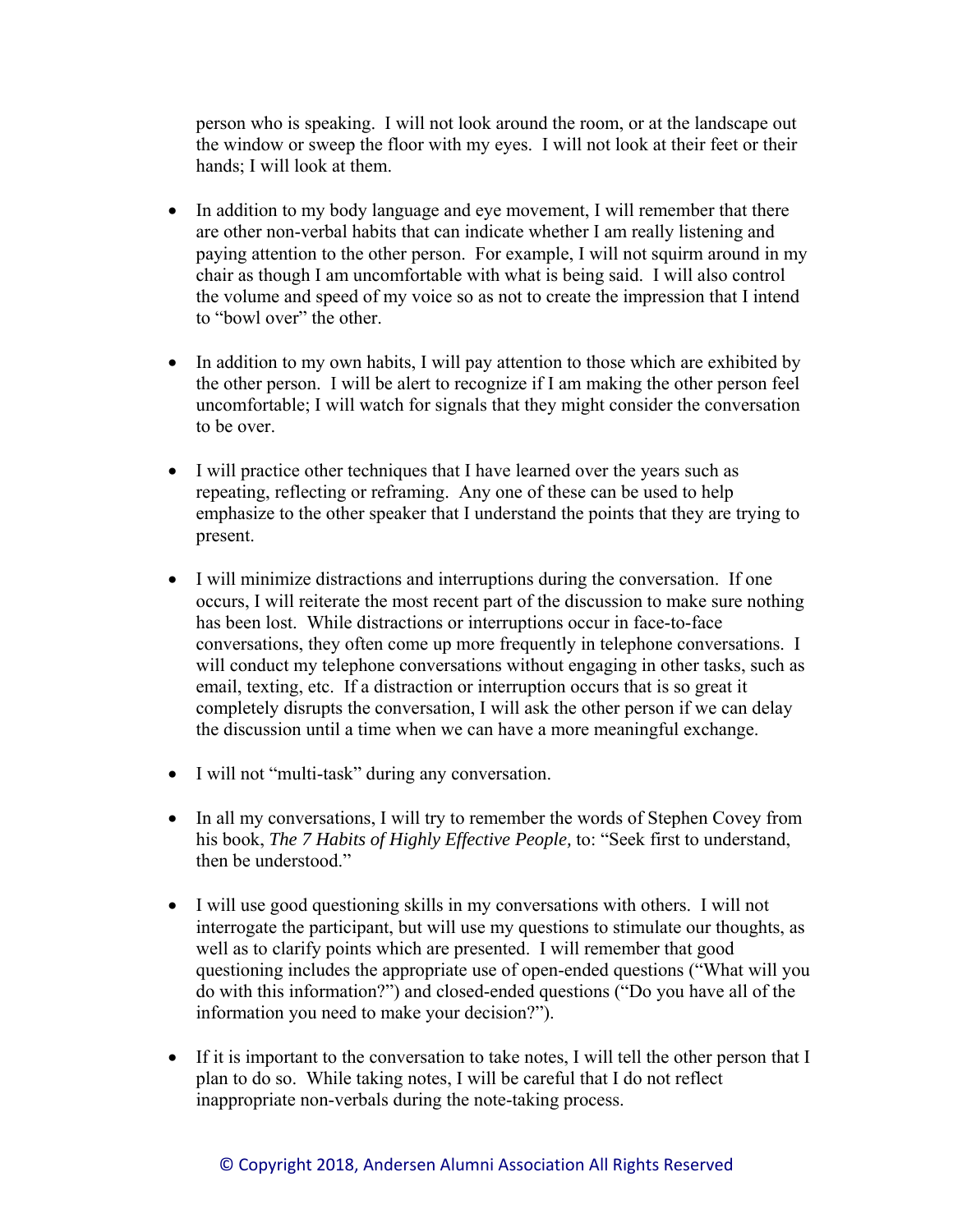person who is speaking. I will not look around the room, or at the landscape out the window or sweep the floor with my eyes. I will not look at their feet or their hands; I will look at them.

- In addition to my body language and eye movement, I will remember that there are other non-verbal habits that can indicate whether I am really listening and paying attention to the other person. For example, I will not squirm around in my chair as though I am uncomfortable with what is being said. I will also control the volume and speed of my voice so as not to create the impression that I intend to "bowl over" the other.
- In addition to my own habits, I will pay attention to those which are exhibited by the other person. I will be alert to recognize if I am making the other person feel uncomfortable; I will watch for signals that they might consider the conversation to be over.
- I will practice other techniques that I have learned over the years such as repeating, reflecting or reframing. Any one of these can be used to help emphasize to the other speaker that I understand the points that they are trying to present.
- I will minimize distractions and interruptions during the conversation. If one occurs, I will reiterate the most recent part of the discussion to make sure nothing has been lost. While distractions or interruptions occur in face-to-face conversations, they often come up more frequently in telephone conversations. I will conduct my telephone conversations without engaging in other tasks, such as email, texting, etc. If a distraction or interruption occurs that is so great it completely disrupts the conversation, I will ask the other person if we can delay the discussion until a time when we can have a more meaningful exchange.
- I will not "multi-task" during any conversation.
- In all my conversations, I will try to remember the words of Stephen Covey from his book, *The 7 Habits of Highly Effective People,* to: "Seek first to understand, then be understood."
- I will use good questioning skills in my conversations with others. I will not interrogate the participant, but will use my questions to stimulate our thoughts, as well as to clarify points which are presented. I will remember that good questioning includes the appropriate use of open-ended questions ("What will you do with this information?") and closed-ended questions ("Do you have all of the information you need to make your decision?").
- If it is important to the conversation to take notes, I will tell the other person that I plan to do so. While taking notes, I will be careful that I do not reflect inappropriate non-verbals during the note-taking process.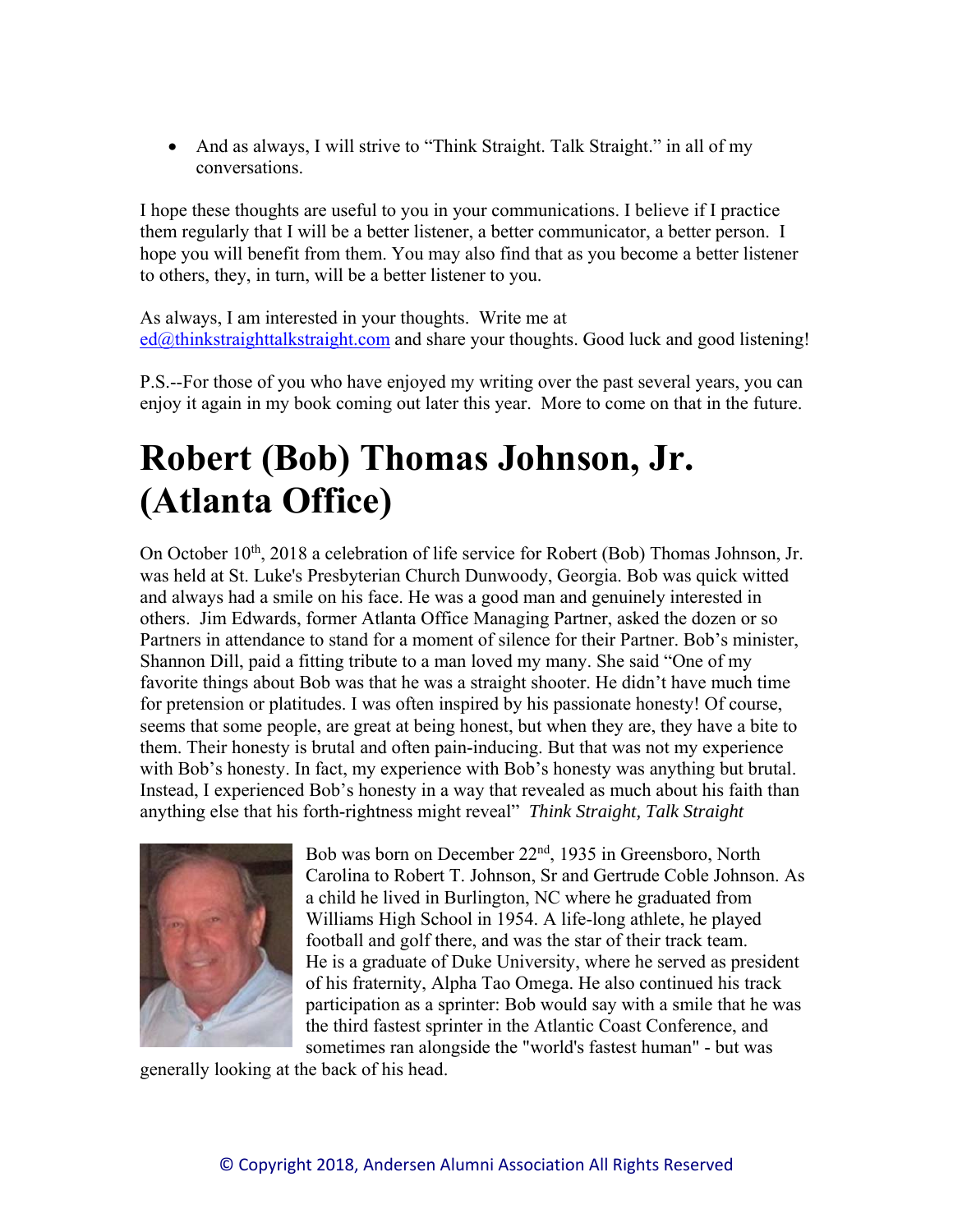• And as always, I will strive to "Think Straight. Talk Straight." in all of my conversations.

I hope these thoughts are useful to you in your communications. I believe if I practice them regularly that I will be a better listener, a better communicator, a better person. I hope you will benefit from them. You may also find that as you become a better listener to others, they, in turn, will be a better listener to you.

As always, I am interested in your thoughts. Write me at  $ed@thinkstraightalkstraight.com$  and share your thoughts. Good luck and good listening!

P.S.--For those of you who have enjoyed my writing over the past several years, you can enjoy it again in my book coming out later this year. More to come on that in the future.

# **Robert (Bob) Thomas Johnson, Jr. (Atlanta Office)**

On October 10<sup>th</sup>, 2018 a celebration of life service for Robert (Bob) Thomas Johnson, Jr. was held at St. Luke's Presbyterian Church Dunwoody, Georgia. Bob was quick witted and always had a smile on his face. He was a good man and genuinely interested in others. Jim Edwards, former Atlanta Office Managing Partner, asked the dozen or so Partners in attendance to stand for a moment of silence for their Partner. Bob's minister, Shannon Dill, paid a fitting tribute to a man loved my many. She said "One of my favorite things about Bob was that he was a straight shooter. He didn't have much time for pretension or platitudes. I was often inspired by his passionate honesty! Of course, seems that some people, are great at being honest, but when they are, they have a bite to them. Their honesty is brutal and often pain-inducing. But that was not my experience with Bob's honesty. In fact, my experience with Bob's honesty was anything but brutal. Instead, I experienced Bob's honesty in a way that revealed as much about his faith than anything else that his forth-rightness might reveal" *Think Straight, Talk Straight* 



Bob was born on December 22nd, 1935 in Greensboro, North Carolina to Robert T. Johnson, Sr and Gertrude Coble Johnson. As a child he lived in Burlington, NC where he graduated from Williams High School in 1954. A life-long athlete, he played football and golf there, and was the star of their track team. He is a graduate of Duke University, where he served as president of his fraternity, Alpha Tao Omega. He also continued his track participation as a sprinter: Bob would say with a smile that he was the third fastest sprinter in the Atlantic Coast Conference, and sometimes ran alongside the "world's fastest human" - but was

generally looking at the back of his head.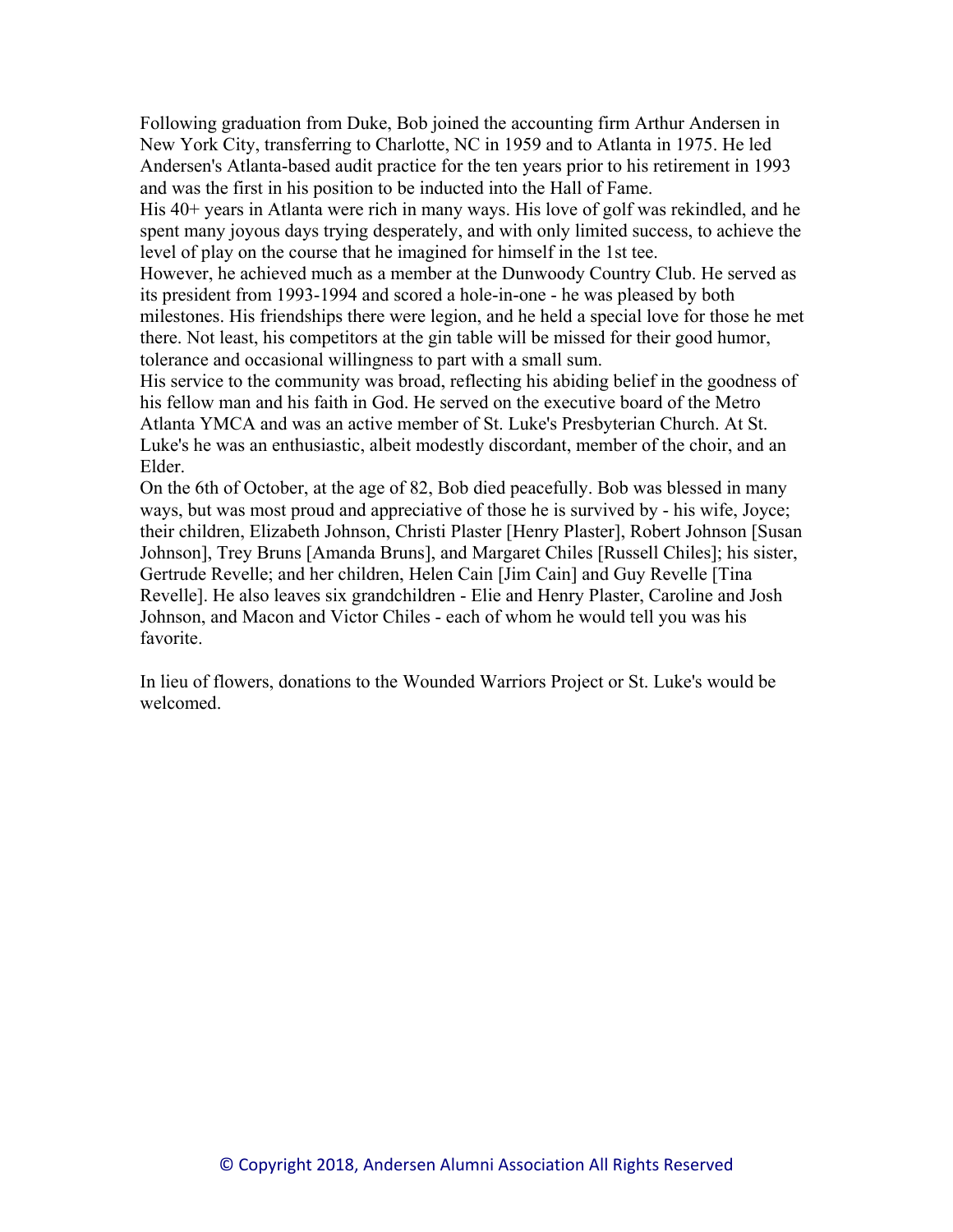Following graduation from Duke, Bob joined the accounting firm Arthur Andersen in New York City, transferring to Charlotte, NC in 1959 and to Atlanta in 1975. He led Andersen's Atlanta-based audit practice for the ten years prior to his retirement in 1993 and was the first in his position to be inducted into the Hall of Fame.

His 40+ years in Atlanta were rich in many ways. His love of golf was rekindled, and he spent many joyous days trying desperately, and with only limited success, to achieve the level of play on the course that he imagined for himself in the 1st tee.

However, he achieved much as a member at the Dunwoody Country Club. He served as its president from 1993-1994 and scored a hole-in-one - he was pleased by both milestones. His friendships there were legion, and he held a special love for those he met there. Not least, his competitors at the gin table will be missed for their good humor, tolerance and occasional willingness to part with a small sum.

His service to the community was broad, reflecting his abiding belief in the goodness of his fellow man and his faith in God. He served on the executive board of the Metro Atlanta YMCA and was an active member of St. Luke's Presbyterian Church. At St. Luke's he was an enthusiastic, albeit modestly discordant, member of the choir, and an Elder.

On the 6th of October, at the age of 82, Bob died peacefully. Bob was blessed in many ways, but was most proud and appreciative of those he is survived by - his wife, Joyce; their children, Elizabeth Johnson, Christi Plaster [Henry Plaster], Robert Johnson [Susan Johnson], Trey Bruns [Amanda Bruns], and Margaret Chiles [Russell Chiles]; his sister, Gertrude Revelle; and her children, Helen Cain [Jim Cain] and Guy Revelle [Tina Revelle]. He also leaves six grandchildren - Elie and Henry Plaster, Caroline and Josh Johnson, and Macon and Victor Chiles - each of whom he would tell you was his favorite.

In lieu of flowers, donations to the Wounded Warriors Project or St. Luke's would be welcomed.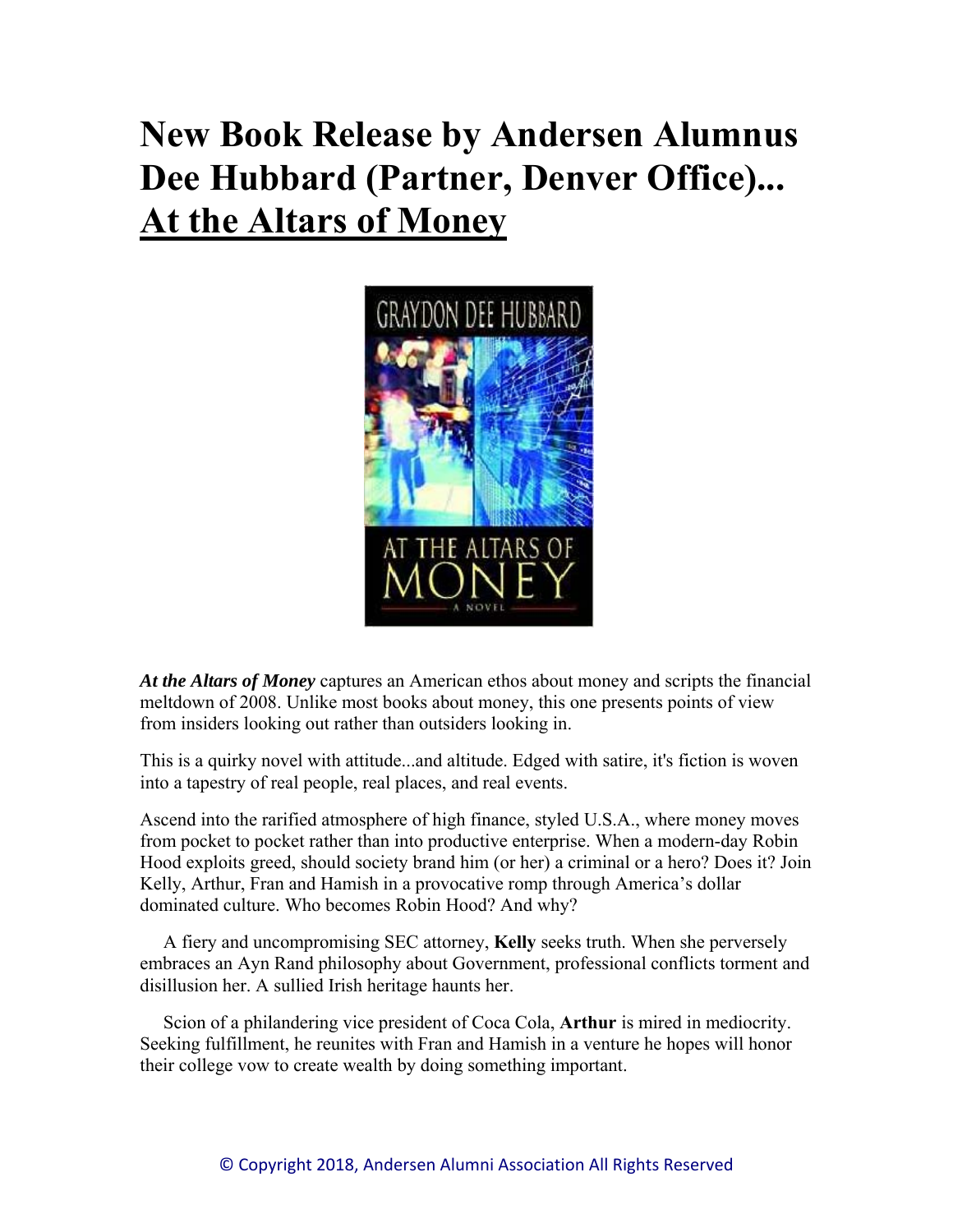# **New Book Release by Andersen Alumnus Dee Hubbard (Partner, Denver Office)... At the Altars of Money**



*At the Altars of Money* captures an American ethos about money and scripts the financial meltdown of 2008. Unlike most books about money, this one presents points of view from insiders looking out rather than outsiders looking in.

This is a quirky novel with attitude...and altitude. Edged with satire, it's fiction is woven into a tapestry of real people, real places, and real events.

Ascend into the rarified atmosphere of high finance, styled U.S.A., where money moves from pocket to pocket rather than into productive enterprise. When a modern-day Robin Hood exploits greed, should society brand him (or her) a criminal or a hero? Does it? Join Kelly, Arthur, Fran and Hamish in a provocative romp through America's dollar dominated culture. Who becomes Robin Hood? And why?

 A fiery and uncompromising SEC attorney, **Kelly** seeks truth. When she perversely embraces an Ayn Rand philosophy about Government, professional conflicts torment and disillusion her. A sullied Irish heritage haunts her.

 Scion of a philandering vice president of Coca Cola, **Arthur** is mired in mediocrity. Seeking fulfillment, he reunites with Fran and Hamish in a venture he hopes will honor their college vow to create wealth by doing something important.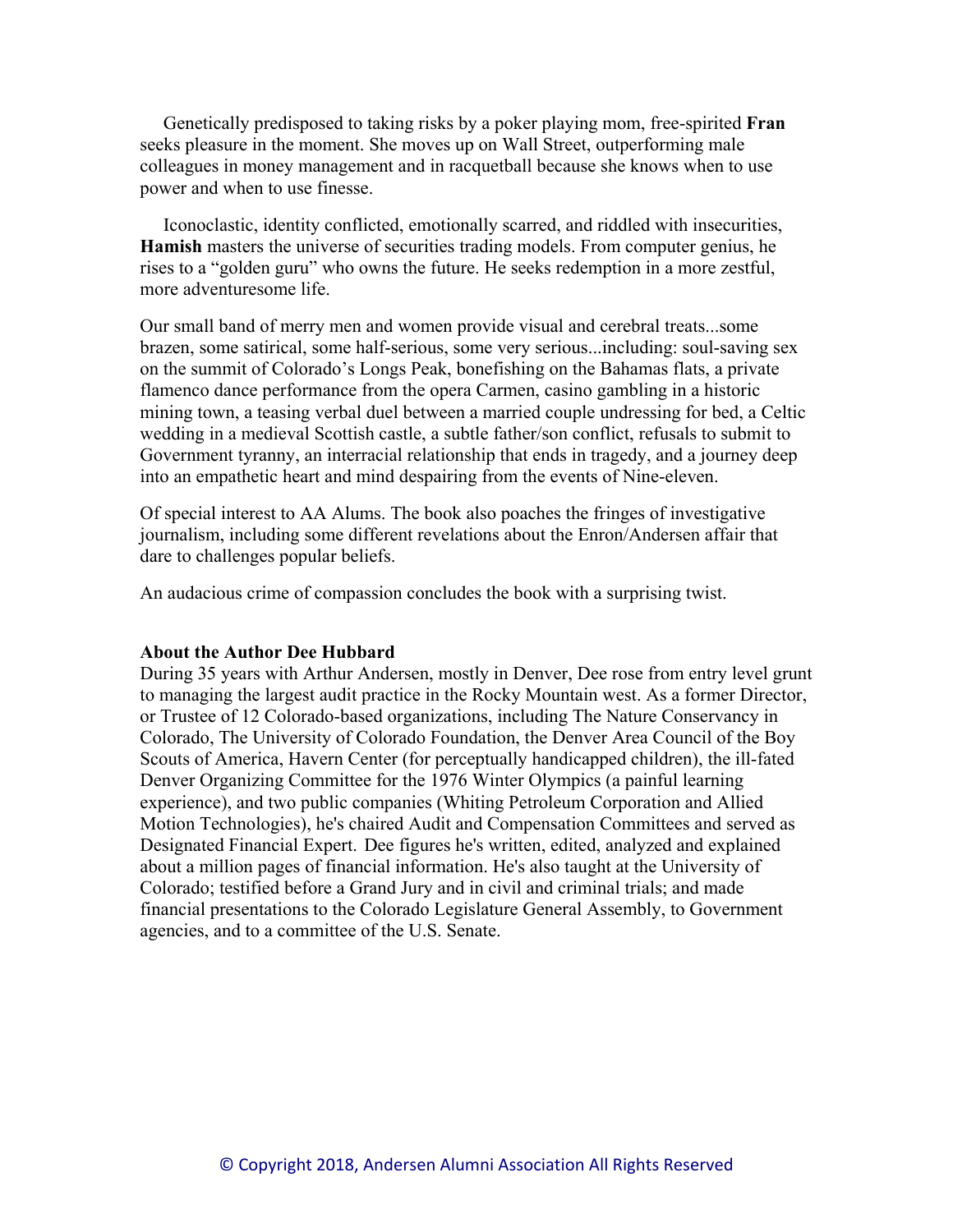Genetically predisposed to taking risks by a poker playing mom, free-spirited **Fran** seeks pleasure in the moment. She moves up on Wall Street, outperforming male colleagues in money management and in racquetball because she knows when to use power and when to use finesse.

 Iconoclastic, identity conflicted, emotionally scarred, and riddled with insecurities, **Hamish** masters the universe of securities trading models. From computer genius, he rises to a "golden guru" who owns the future. He seeks redemption in a more zestful, more adventuresome life.

Our small band of merry men and women provide visual and cerebral treats...some brazen, some satirical, some half-serious, some very serious...including: soul-saving sex on the summit of Colorado's Longs Peak, bonefishing on the Bahamas flats, a private flamenco dance performance from the opera Carmen, casino gambling in a historic mining town, a teasing verbal duel between a married couple undressing for bed, a Celtic wedding in a medieval Scottish castle, a subtle father/son conflict, refusals to submit to Government tyranny, an interracial relationship that ends in tragedy, and a journey deep into an empathetic heart and mind despairing from the events of Nine-eleven.

Of special interest to AA Alums. The book also poaches the fringes of investigative journalism, including some different revelations about the Enron/Andersen affair that dare to challenges popular beliefs.

An audacious crime of compassion concludes the book with a surprising twist.

#### **About the Author Dee Hubbard**

During 35 years with Arthur Andersen, mostly in Denver, Dee rose from entry level grunt to managing the largest audit practice in the Rocky Mountain west. As a former Director, or Trustee of 12 Colorado-based organizations, including The Nature Conservancy in Colorado, The University of Colorado Foundation, the Denver Area Council of the Boy Scouts of America, Havern Center (for perceptually handicapped children), the ill-fated Denver Organizing Committee for the 1976 Winter Olympics (a painful learning experience), and two public companies (Whiting Petroleum Corporation and Allied Motion Technologies), he's chaired Audit and Compensation Committees and served as Designated Financial Expert. Dee figures he's written, edited, analyzed and explained about a million pages of financial information. He's also taught at the University of Colorado; testified before a Grand Jury and in civil and criminal trials; and made financial presentations to the Colorado Legislature General Assembly, to Government agencies, and to a committee of the U.S. Senate.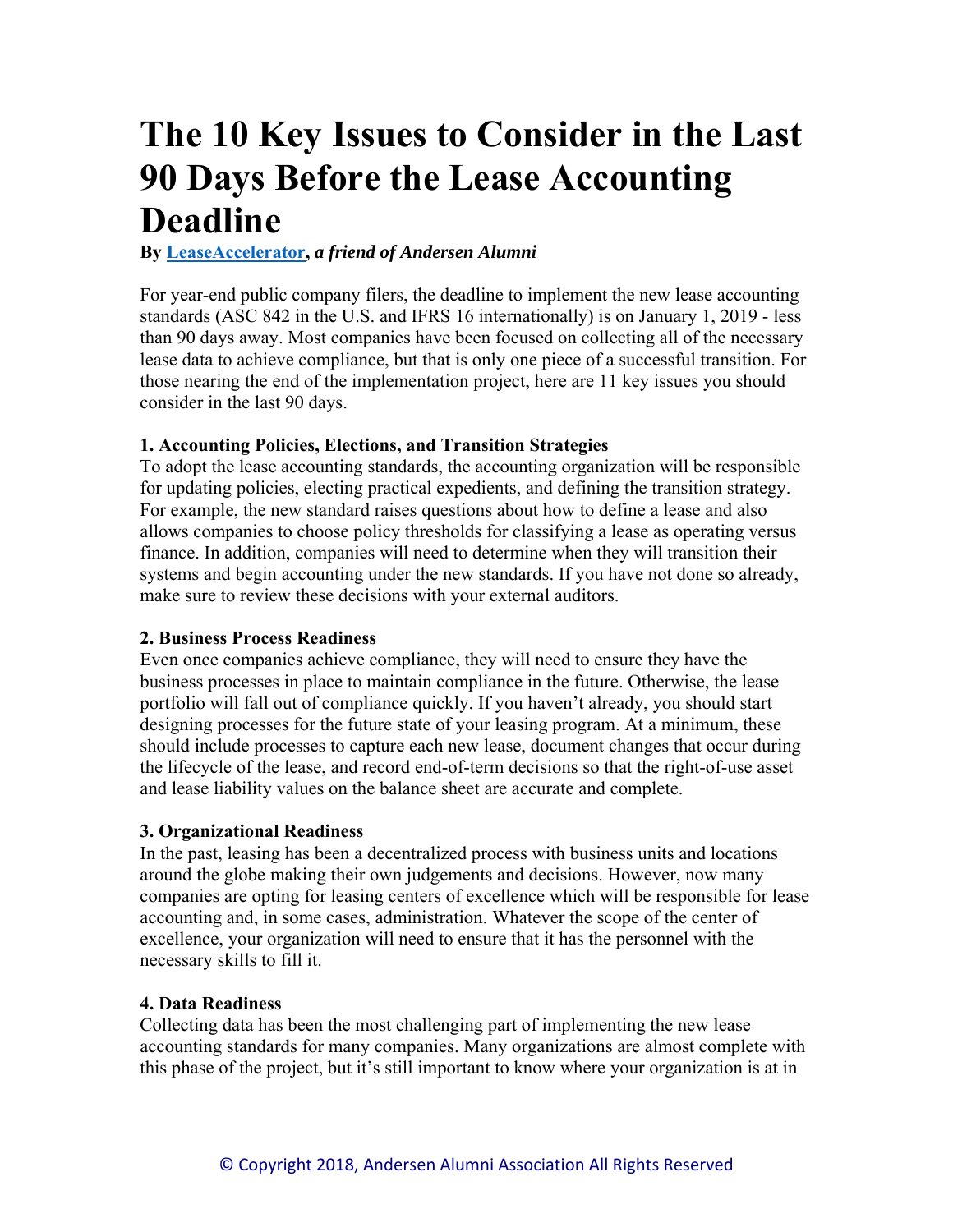# **The 10 Key Issues to Consider in the Last 90 Days Before the Lease Accounting Deadline**

#### **By LeaseAccelerator,** *a friend of Andersen Alumni*

For year-end public company filers, the deadline to implement the new lease accounting standards (ASC 842 in the U.S. and IFRS 16 internationally) is on January 1, 2019 - less than 90 days away. Most companies have been focused on collecting all of the necessary lease data to achieve compliance, but that is only one piece of a successful transition. For those nearing the end of the implementation project, here are 11 key issues you should consider in the last 90 days.

#### **1. Accounting Policies, Elections, and Transition Strategies**

To adopt the lease accounting standards, the accounting organization will be responsible for updating policies, electing practical expedients, and defining the transition strategy. For example, the new standard raises questions about how to define a lease and also allows companies to choose policy thresholds for classifying a lease as operating versus finance. In addition, companies will need to determine when they will transition their systems and begin accounting under the new standards. If you have not done so already, make sure to review these decisions with your external auditors.

#### **2. Business Process Readiness**

Even once companies achieve compliance, they will need to ensure they have the business processes in place to maintain compliance in the future. Otherwise, the lease portfolio will fall out of compliance quickly. If you haven't already, you should start designing processes for the future state of your leasing program. At a minimum, these should include processes to capture each new lease, document changes that occur during the lifecycle of the lease, and record end-of-term decisions so that the right-of-use asset and lease liability values on the balance sheet are accurate and complete.

#### **3. Organizational Readiness**

In the past, leasing has been a decentralized process with business units and locations around the globe making their own judgements and decisions. However, now many companies are opting for leasing centers of excellence which will be responsible for lease accounting and, in some cases, administration. Whatever the scope of the center of excellence, your organization will need to ensure that it has the personnel with the necessary skills to fill it.

#### **4. Data Readiness**

Collecting data has been the most challenging part of implementing the new lease accounting standards for many companies. Many organizations are almost complete with this phase of the project, but it's still important to know where your organization is at in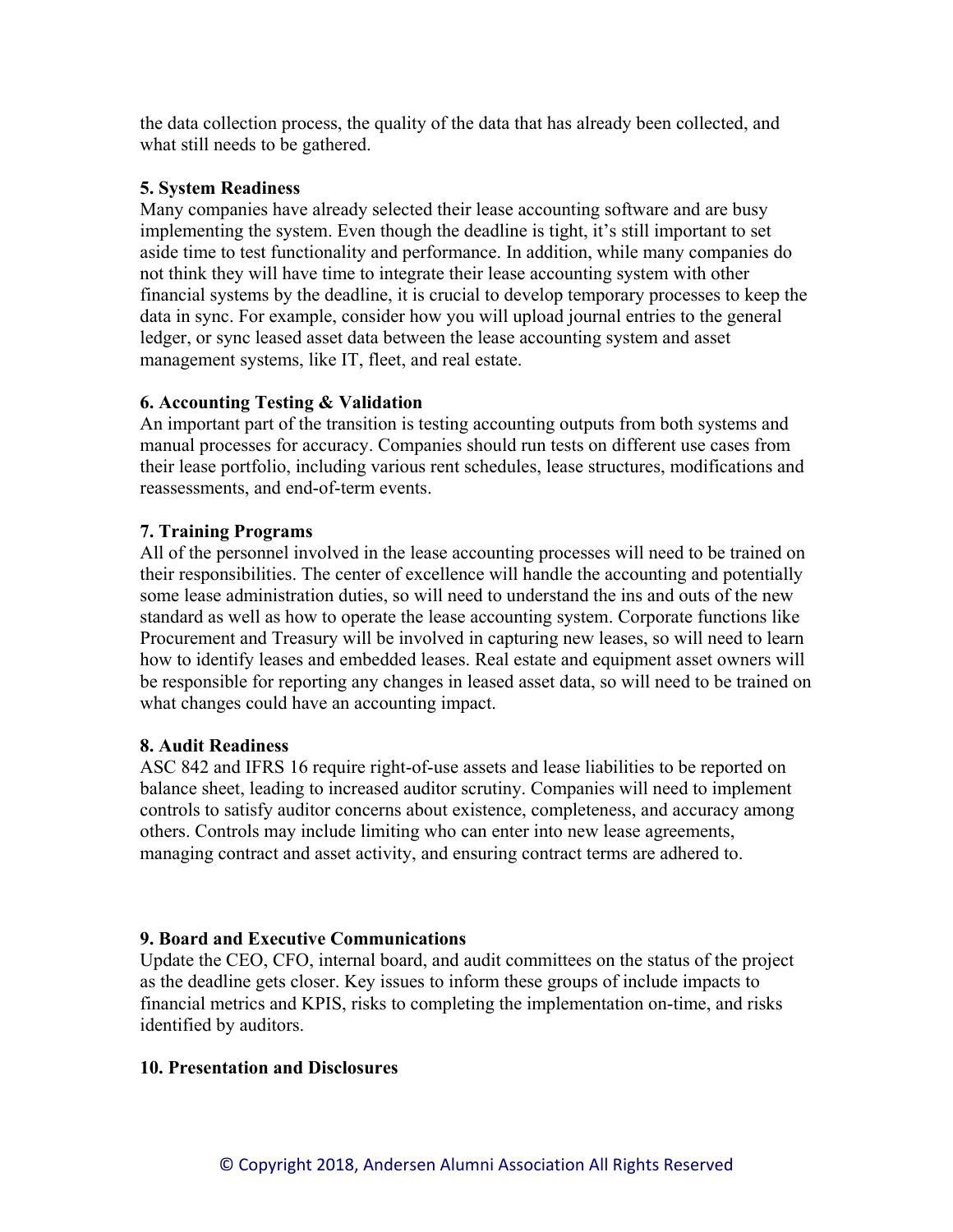the data collection process, the quality of the data that has already been collected, and what still needs to be gathered.

#### **5. System Readiness**

Many companies have already selected their lease accounting software and are busy implementing the system. Even though the deadline is tight, it's still important to set aside time to test functionality and performance. In addition, while many companies do not think they will have time to integrate their lease accounting system with other financial systems by the deadline, it is crucial to develop temporary processes to keep the data in sync. For example, consider how you will upload journal entries to the general ledger, or sync leased asset data between the lease accounting system and asset management systems, like IT, fleet, and real estate.

#### **6. Accounting Testing & Validation**

An important part of the transition is testing accounting outputs from both systems and manual processes for accuracy. Companies should run tests on different use cases from their lease portfolio, including various rent schedules, lease structures, modifications and reassessments, and end-of-term events.

#### **7. Training Programs**

All of the personnel involved in the lease accounting processes will need to be trained on their responsibilities. The center of excellence will handle the accounting and potentially some lease administration duties, so will need to understand the ins and outs of the new standard as well as how to operate the lease accounting system. Corporate functions like Procurement and Treasury will be involved in capturing new leases, so will need to learn how to identify leases and embedded leases. Real estate and equipment asset owners will be responsible for reporting any changes in leased asset data, so will need to be trained on what changes could have an accounting impact.

#### **8. Audit Readiness**

ASC 842 and IFRS 16 require right-of-use assets and lease liabilities to be reported on balance sheet, leading to increased auditor scrutiny. Companies will need to implement controls to satisfy auditor concerns about existence, completeness, and accuracy among others. Controls may include limiting who can enter into new lease agreements, managing contract and asset activity, and ensuring contract terms are adhered to.

#### **9. Board and Executive Communications**

Update the CEO, CFO, internal board, and audit committees on the status of the project as the deadline gets closer. Key issues to inform these groups of include impacts to financial metrics and KPIS, risks to completing the implementation on-time, and risks identified by auditors.

#### **10. Presentation and Disclosures**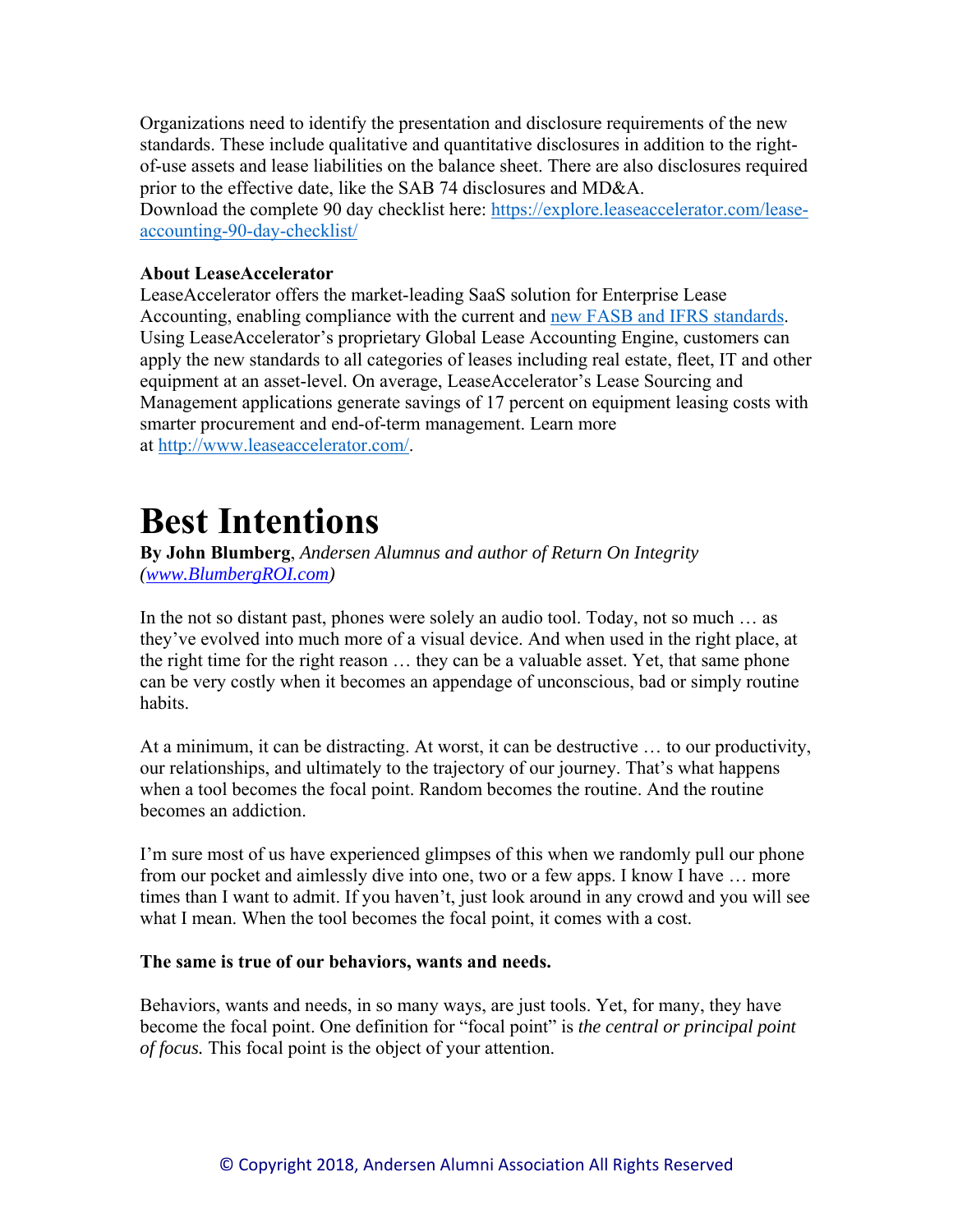Organizations need to identify the presentation and disclosure requirements of the new standards. These include qualitative and quantitative disclosures in addition to the rightof-use assets and lease liabilities on the balance sheet. There are also disclosures required prior to the effective date, like the SAB 74 disclosures and MD&A.

Download the complete 90 day checklist here: https://explore.leaseaccelerator.com/leaseaccounting-90-day-checklist/

#### **About LeaseAccelerator**

LeaseAccelerator offers the market-leading SaaS solution for Enterprise Lease Accounting, enabling compliance with the current and new FASB and IFRS standards. Using LeaseAccelerator's proprietary Global Lease Accounting Engine, customers can apply the new standards to all categories of leases including real estate, fleet, IT and other equipment at an asset-level. On average, LeaseAccelerator's Lease Sourcing and Management applications generate savings of 17 percent on equipment leasing costs with smarter procurement and end-of-term management. Learn more at http://www.leaseaccelerator.com/.

## **Best Intentions**

**By John Blumberg**, *Andersen Alumnus and author of Return On Integrity (www.BlumbergROI.com)* 

In the not so distant past, phones were solely an audio tool. Today, not so much … as they've evolved into much more of a visual device. And when used in the right place, at the right time for the right reason … they can be a valuable asset. Yet, that same phone can be very costly when it becomes an appendage of unconscious, bad or simply routine habits.

At a minimum, it can be distracting. At worst, it can be destructive … to our productivity, our relationships, and ultimately to the trajectory of our journey. That's what happens when a tool becomes the focal point. Random becomes the routine. And the routine becomes an addiction.

I'm sure most of us have experienced glimpses of this when we randomly pull our phone from our pocket and aimlessly dive into one, two or a few apps. I know I have … more times than I want to admit. If you haven't, just look around in any crowd and you will see what I mean. When the tool becomes the focal point, it comes with a cost.

#### **The same is true of our behaviors, wants and needs.**

Behaviors, wants and needs, in so many ways, are just tools. Yet, for many, they have become the focal point. One definition for "focal point" is *the central or principal point of focus.* This focal point is the object of your attention.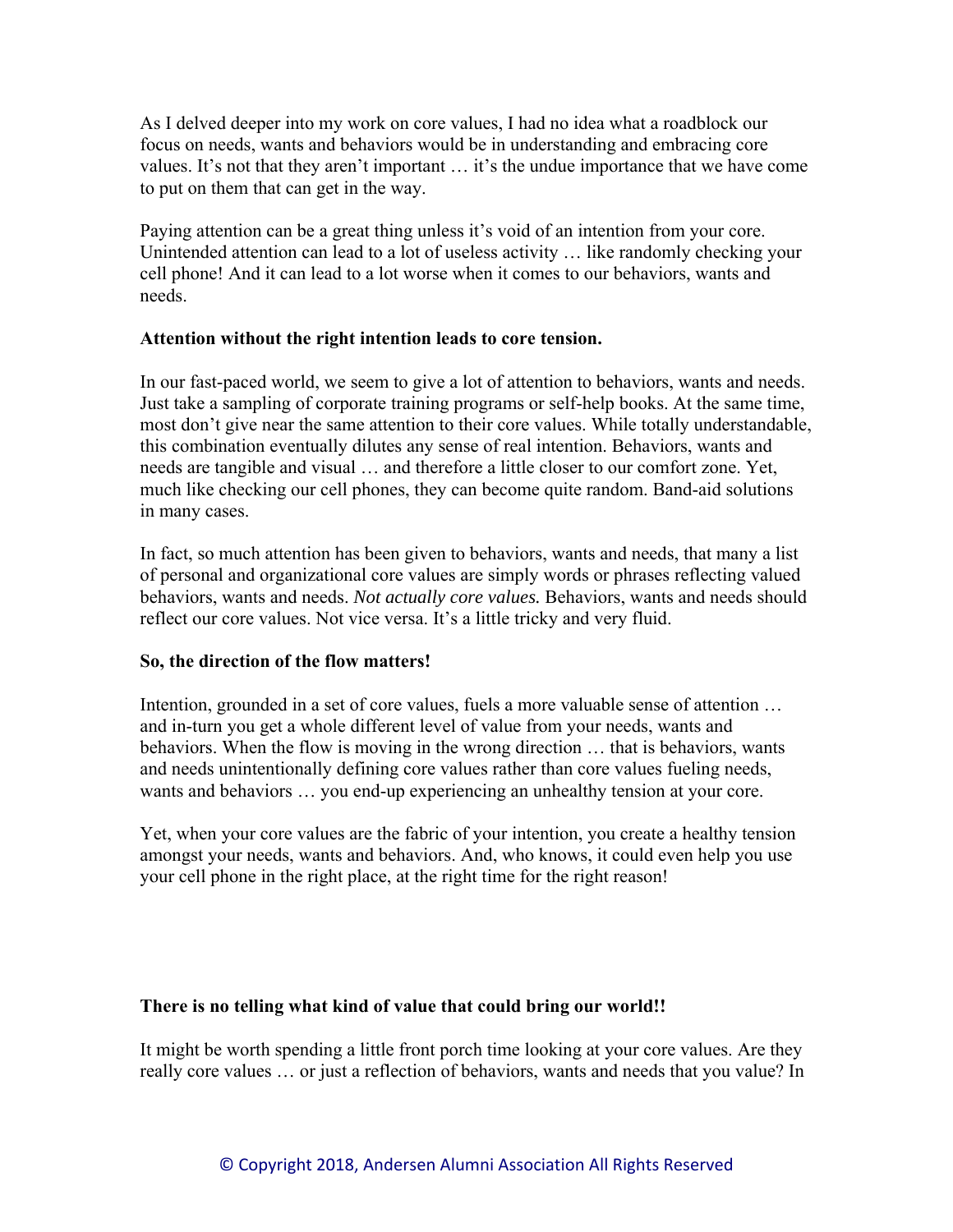As I delved deeper into my work on core values, I had no idea what a roadblock our focus on needs, wants and behaviors would be in understanding and embracing core values. It's not that they aren't important … it's the undue importance that we have come to put on them that can get in the way.

Paying attention can be a great thing unless it's void of an intention from your core. Unintended attention can lead to a lot of useless activity … like randomly checking your cell phone! And it can lead to a lot worse when it comes to our behaviors, wants and needs.

#### **Attention without the right intention leads to core tension.**

In our fast-paced world, we seem to give a lot of attention to behaviors, wants and needs. Just take a sampling of corporate training programs or self-help books. At the same time, most don't give near the same attention to their core values. While totally understandable, this combination eventually dilutes any sense of real intention. Behaviors, wants and needs are tangible and visual … and therefore a little closer to our comfort zone. Yet, much like checking our cell phones, they can become quite random. Band-aid solutions in many cases.

In fact, so much attention has been given to behaviors, wants and needs, that many a list of personal and organizational core values are simply words or phrases reflecting valued behaviors, wants and needs. *Not actually core values.* Behaviors, wants and needs should reflect our core values. Not vice versa. It's a little tricky and very fluid.

#### **So, the direction of the flow matters!**

Intention, grounded in a set of core values, fuels a more valuable sense of attention … and in-turn you get a whole different level of value from your needs, wants and behaviors. When the flow is moving in the wrong direction … that is behaviors, wants and needs unintentionally defining core values rather than core values fueling needs, wants and behaviors … you end-up experiencing an unhealthy tension at your core.

Yet, when your core values are the fabric of your intention, you create a healthy tension amongst your needs, wants and behaviors. And, who knows, it could even help you use your cell phone in the right place, at the right time for the right reason!

#### **There is no telling what kind of value that could bring our world!!**

It might be worth spending a little front porch time looking at your core values. Are they really core values … or just a reflection of behaviors, wants and needs that you value? In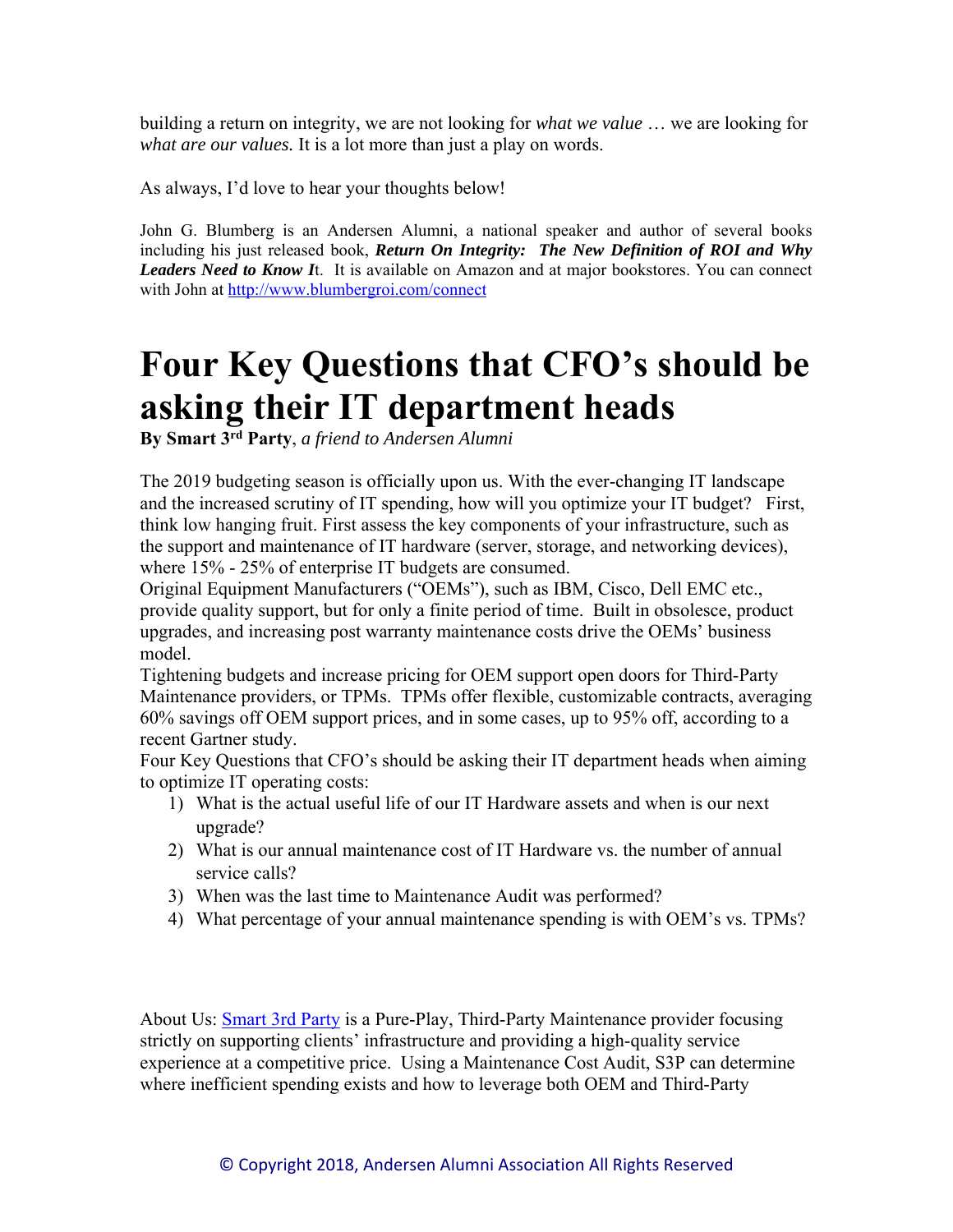building a return on integrity, we are not looking for *what we value* … we are looking for *what are our values.* It is a lot more than just a play on words.

As always, I'd love to hear your thoughts below!

John G. Blumberg is an Andersen Alumni, a national speaker and author of several books including his just released book, *Return On Integrity: The New Definition of ROI and Why Leaders Need to Know I*t. It is available on Amazon and at major bookstores. You can connect with John at http://www.blumbergroi.com/connect

## **Four Key Questions that CFO's should be asking their IT department heads**

**By Smart 3rd Party**, *a friend to Andersen Alumni* 

The 2019 budgeting season is officially upon us. With the ever-changing IT landscape and the increased scrutiny of IT spending, how will you optimize your IT budget? First, think low hanging fruit. First assess the key components of your infrastructure, such as the support and maintenance of IT hardware (server, storage, and networking devices), where 15% - 25% of enterprise IT budgets are consumed.

Original Equipment Manufacturers ("OEMs"), such as IBM, Cisco, Dell EMC etc., provide quality support, but for only a finite period of time. Built in obsolesce, product upgrades, and increasing post warranty maintenance costs drive the OEMs' business model.

Tightening budgets and increase pricing for OEM support open doors for Third-Party Maintenance providers, or TPMs. TPMs offer flexible, customizable contracts, averaging 60% savings off OEM support prices, and in some cases, up to 95% off, according to a recent Gartner study.

Four Key Questions that CFO's should be asking their IT department heads when aiming to optimize IT operating costs:

- 1) What is the actual useful life of our IT Hardware assets and when is our next upgrade?
- 2) What is our annual maintenance cost of IT Hardware vs. the number of annual service calls?
- 3) When was the last time to Maintenance Audit was performed?
- 4) What percentage of your annual maintenance spending is with OEM's vs. TPMs?

About Us: Smart 3rd Party is a Pure-Play, Third-Party Maintenance provider focusing strictly on supporting clients' infrastructure and providing a high-quality service experience at a competitive price. Using a Maintenance Cost Audit, S3P can determine where inefficient spending exists and how to leverage both OEM and Third-Party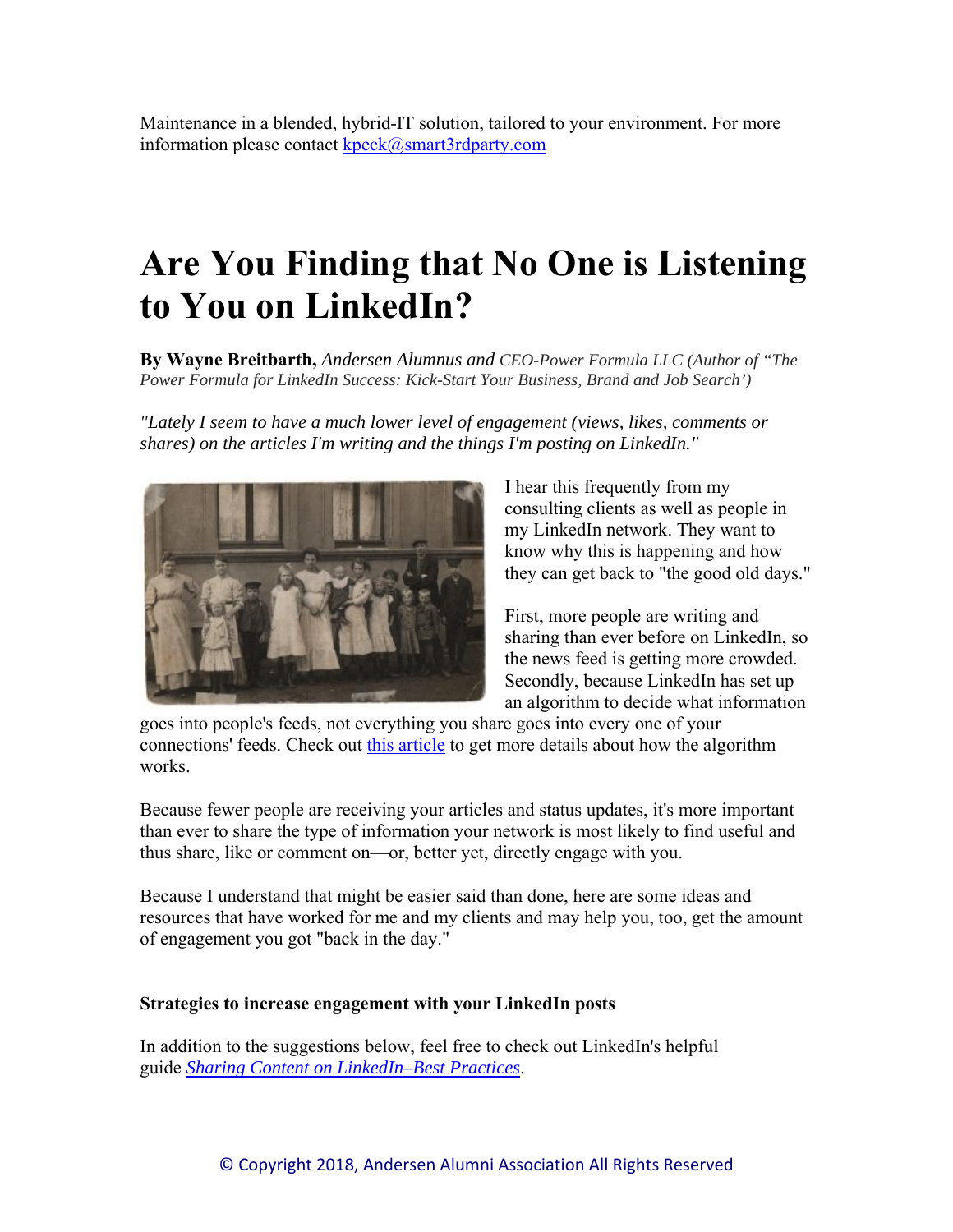Maintenance in a blended, hybrid-IT solution, tailored to your environment. For more information please contact kpeck@smart3rdparty.com

# **Are You Finding that No One is Listening to You on LinkedIn?**

**By Wayne Breitbarth,** *Andersen Alumnus and CEO-Power Formula LLC (Author of "The Power Formula for LinkedIn Success: Kick-Start Your Business, Brand and Job Search')* 

*"Lately I seem to have a much lower level of engagement (views, likes, comments or shares) on the articles I'm writing and the things I'm posting on LinkedIn."*



I hear this frequently from my consulting clients as well as people in my LinkedIn network. They want to know why this is happening and how they can get back to "the good old days."

First, more people are writing and sharing than ever before on LinkedIn, so the news feed is getting more crowded. Secondly, because LinkedIn has set up an algorithm to decide what information

goes into people's feeds, not everything you share goes into every one of your connections' feeds. Check out this article to get more details about how the algorithm works.

Because fewer people are receiving your articles and status updates, it's more important than ever to share the type of information your network is most likely to find useful and thus share, like or comment on—or, better yet, directly engage with you.

Because I understand that might be easier said than done, here are some ideas and resources that have worked for me and my clients and may help you, too, get the amount of engagement you got "back in the day."

#### **Strategies to increase engagement with your LinkedIn posts**

In addition to the suggestions below, feel free to check out LinkedIn's helpful guide *Sharing Content on LinkedIn–Best Practices*.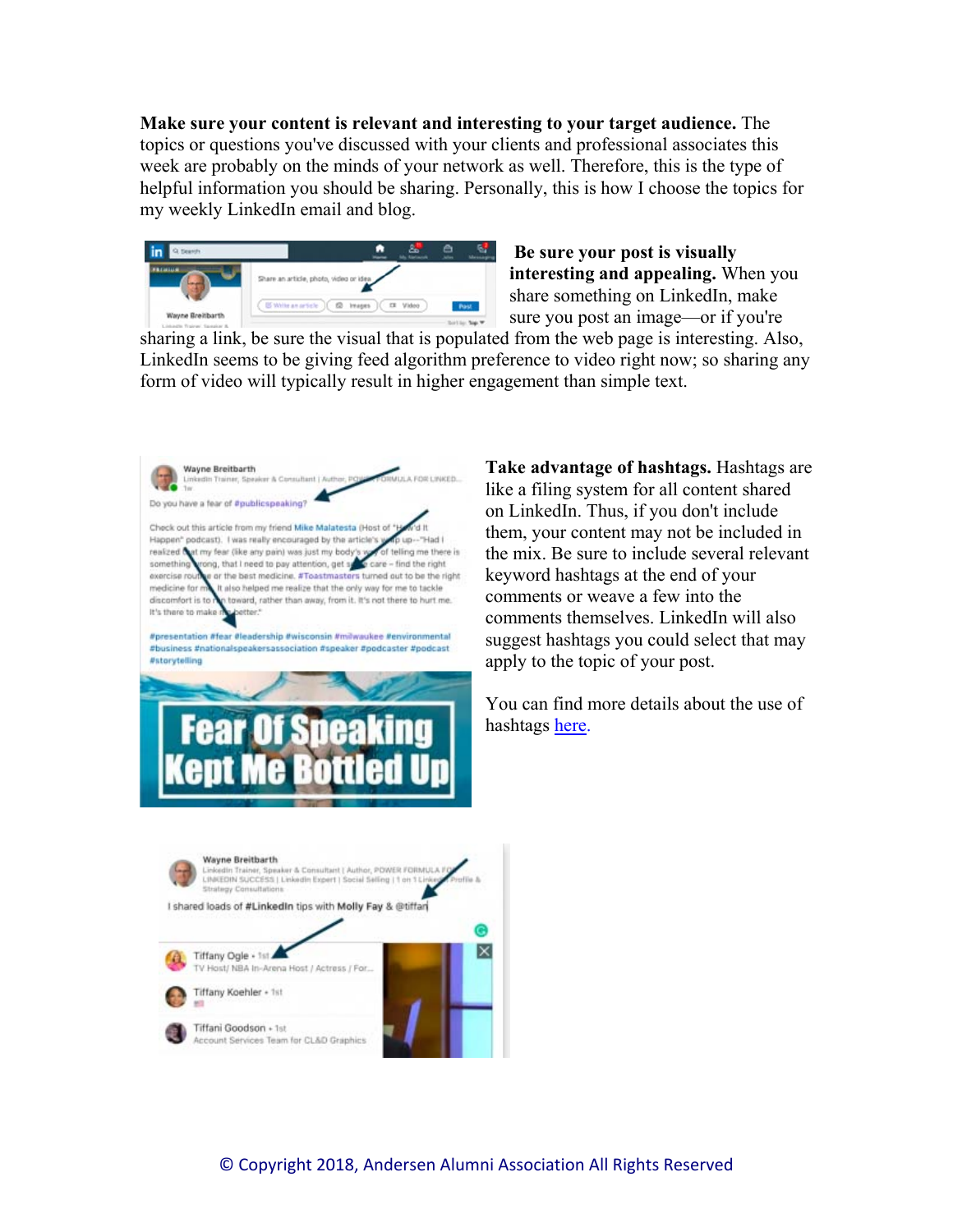**Make sure your content is relevant and interesting to your target audience.** The topics or questions you've discussed with your clients and professional associates this week are probably on the minds of your network as well. Therefore, this is the type of helpful information you should be sharing. Personally, this is how I choose the topics for my weekly LinkedIn email and blog.



**Be sure your post is visually interesting and appealing.** When you share something on LinkedIn, make sure you post an image—or if you're

sharing a link, be sure the visual that is populated from the web page is interesting. Also, LinkedIn seems to be giving feed algorithm preference to video right now; so sharing any form of video will typically result in higher engagement than simple text.



**Take advantage of hashtags.** Hashtags are like a filing system for all content shared on LinkedIn. Thus, if you don't include them, your content may not be included in the mix. Be sure to include several relevant keyword hashtags at the end of your comments or weave a few into the comments themselves. LinkedIn will also suggest hashtags you could select that may apply to the topic of your post.

You can find more details about the use of hashtags here.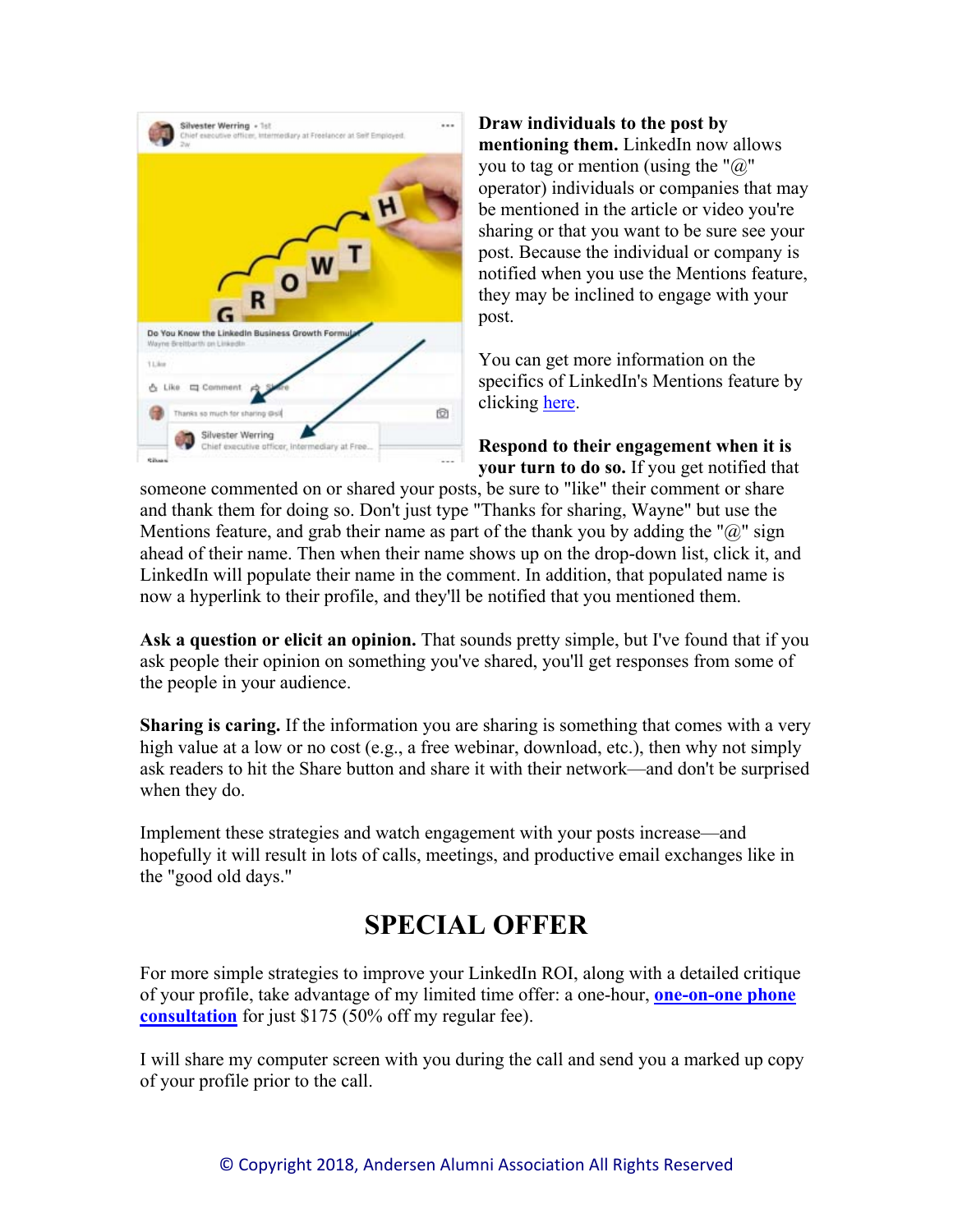

**Draw individuals to the post by mentioning them.** LinkedIn now allows you to tag or mention (using the " $@$ " operator) individuals or companies that may be mentioned in the article or video you're sharing or that you want to be sure see your post. Because the individual or company is notified when you use the Mentions feature, they may be inclined to engage with your post.

You can get more information on the specifics of LinkedIn's Mentions feature by clicking here.

**Respond to their engagement when it is your turn to do so.** If you get notified that

someone commented on or shared your posts, be sure to "like" their comment or share and thank them for doing so. Don't just type "Thanks for sharing, Wayne" but use the Mentions feature, and grab their name as part of the thank you by adding the " $\hat{a}$ " sign ahead of their name. Then when their name shows up on the drop-down list, click it, and LinkedIn will populate their name in the comment. In addition, that populated name is now a hyperlink to their profile, and they'll be notified that you mentioned them.

**Ask a question or elicit an opinion.** That sounds pretty simple, but I've found that if you ask people their opinion on something you've shared, you'll get responses from some of the people in your audience.

**Sharing is caring.** If the information you are sharing is something that comes with a very high value at a low or no cost (e.g., a free webinar, download, etc.), then why not simply ask readers to hit the Share button and share it with their network—and don't be surprised when they do.

Implement these strategies and watch engagement with your posts increase—and hopefully it will result in lots of calls, meetings, and productive email exchanges like in the "good old days."

### **SPECIAL OFFER**

For more simple strategies to improve your LinkedIn ROI, along with a detailed critique of your profile, take advantage of my limited time offer: a one-hour, **one-on-one phone consultation** for just \$175 (50% off my regular fee).

I will share my computer screen with you during the call and send you a marked up copy of your profile prior to the call.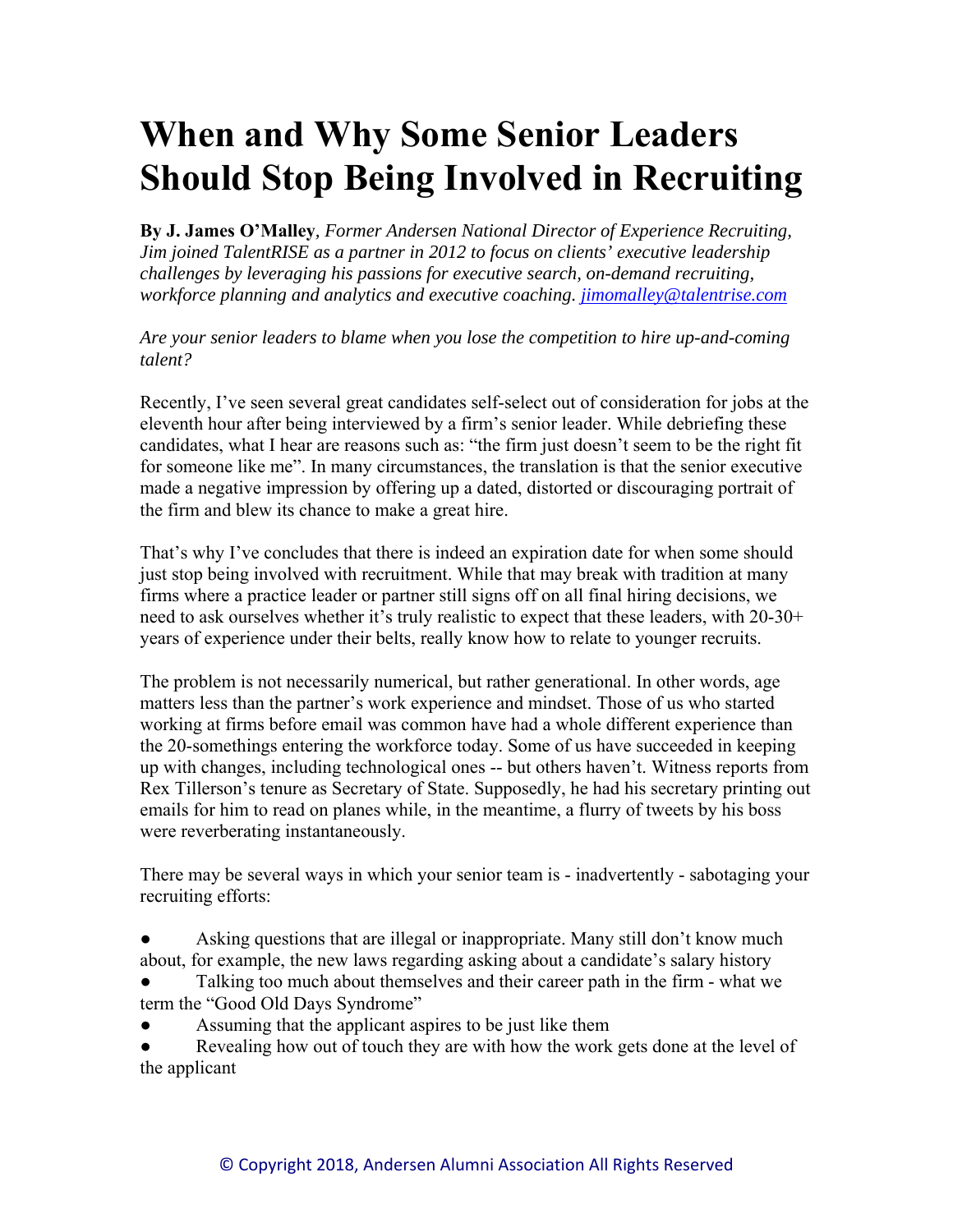# **When and Why Some Senior Leaders Should Stop Being Involved in Recruiting**

**By J. James O'Malley***, Former Andersen National Director of Experience Recruiting, Jim joined TalentRISE as a partner in 2012 to focus on clients' executive leadership challenges by leveraging his passions for executive search, on-demand recruiting, workforce planning and analytics and executive coaching. jimomalley@talentrise.com*

*Are your senior leaders to blame when you lose the competition to hire up-and-coming talent?* 

Recently, I've seen several great candidates self-select out of consideration for jobs at the eleventh hour after being interviewed by a firm's senior leader. While debriefing these candidates, what I hear are reasons such as: "the firm just doesn't seem to be the right fit for someone like me". In many circumstances, the translation is that the senior executive made a negative impression by offering up a dated, distorted or discouraging portrait of the firm and blew its chance to make a great hire.

That's why I've concludes that there is indeed an expiration date for when some should just stop being involved with recruitment. While that may break with tradition at many firms where a practice leader or partner still signs off on all final hiring decisions, we need to ask ourselves whether it's truly realistic to expect that these leaders, with 20-30+ years of experience under their belts, really know how to relate to younger recruits.

The problem is not necessarily numerical, but rather generational. In other words, age matters less than the partner's work experience and mindset. Those of us who started working at firms before email was common have had a whole different experience than the 20-somethings entering the workforce today. Some of us have succeeded in keeping up with changes, including technological ones -- but others haven't. Witness reports from Rex Tillerson's tenure as Secretary of State. Supposedly, he had his secretary printing out emails for him to read on planes while, in the meantime, a flurry of tweets by his boss were reverberating instantaneously.

There may be several ways in which your senior team is - inadvertently - sabotaging your recruiting efforts:

Asking questions that are illegal or inappropriate. Many still don't know much about, for example, the new laws regarding asking about a candidate's salary history

Talking too much about themselves and their career path in the firm - what we term the "Good Old Days Syndrome"

Assuming that the applicant aspires to be just like them

Revealing how out of touch they are with how the work gets done at the level of the applicant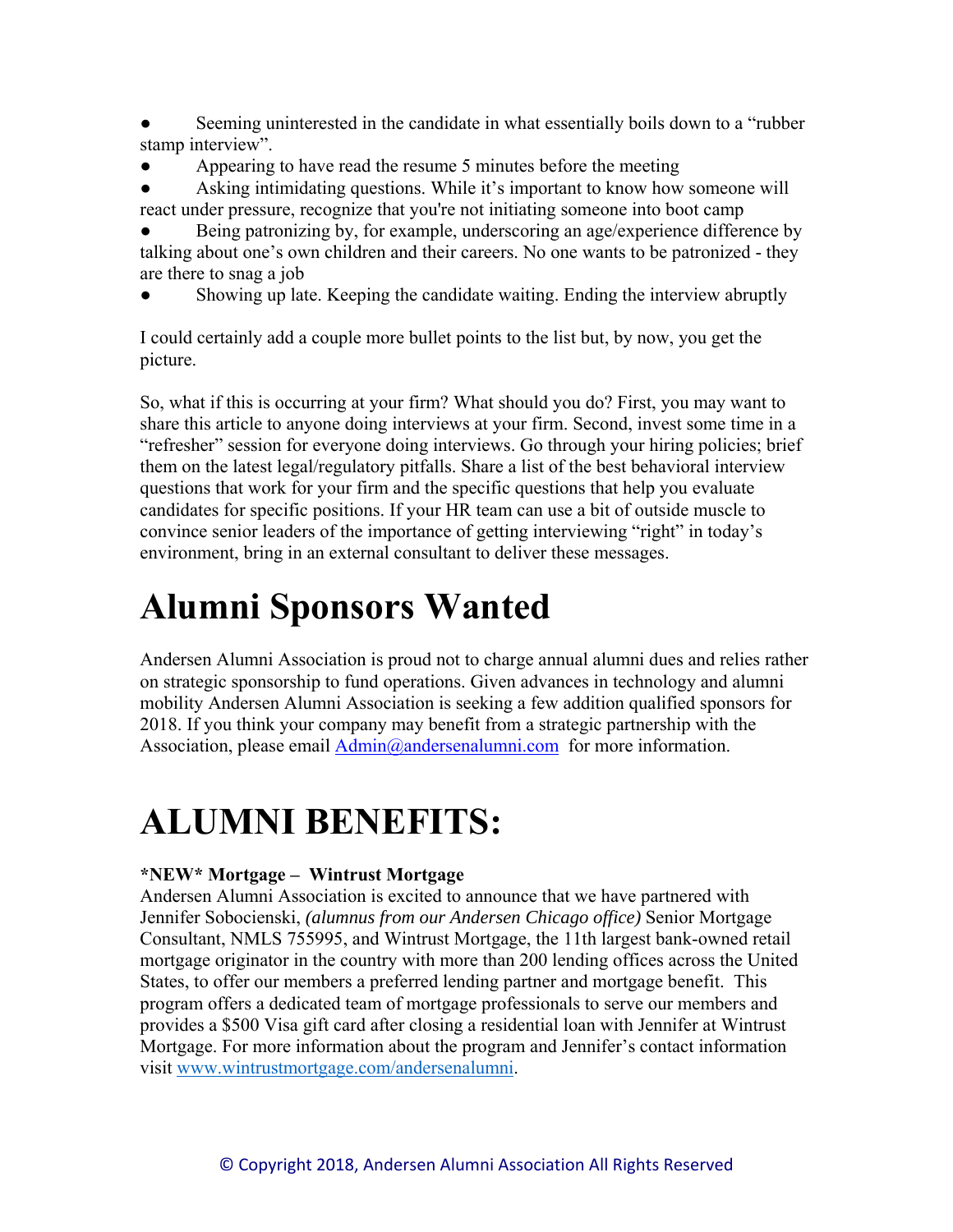- Seeming uninterested in the candidate in what essentially boils down to a "rubber" stamp interview".
- Appearing to have read the resume 5 minutes before the meeting

Asking intimidating questions. While it's important to know how someone will react under pressure, recognize that you're not initiating someone into boot camp

Being patronizing by, for example, underscoring an age/experience difference by talking about one's own children and their careers. No one wants to be patronized - they are there to snag a job

Showing up late. Keeping the candidate waiting. Ending the interview abruptly

I could certainly add a couple more bullet points to the list but, by now, you get the picture.

So, what if this is occurring at your firm? What should you do? First, you may want to share this article to anyone doing interviews at your firm. Second, invest some time in a "refresher" session for everyone doing interviews. Go through your hiring policies; brief them on the latest legal/regulatory pitfalls. Share a list of the best behavioral interview questions that work for your firm and the specific questions that help you evaluate candidates for specific positions. If your HR team can use a bit of outside muscle to convince senior leaders of the importance of getting interviewing "right" in today's environment, bring in an external consultant to deliver these messages.

## **Alumni Sponsors Wanted**

Andersen Alumni Association is proud not to charge annual alumni dues and relies rather on strategic sponsorship to fund operations. Given advances in technology and alumni mobility Andersen Alumni Association is seeking a few addition qualified sponsors for 2018. If you think your company may benefit from a strategic partnership with the Association, please email Admin@andersenalumni.com for more information.

# **ALUMNI BENEFITS:**

#### **\*NEW\* Mortgage – Wintrust Mortgage**

Andersen Alumni Association is excited to announce that we have partnered with Jennifer Sobocienski, *(alumnus from our Andersen Chicago office)* Senior Mortgage Consultant, NMLS 755995, and Wintrust Mortgage, the 11th largest bank-owned retail mortgage originator in the country with more than 200 lending offices across the United States, to offer our members a preferred lending partner and mortgage benefit. This program offers a dedicated team of mortgage professionals to serve our members and provides a \$500 Visa gift card after closing a residential loan with Jennifer at Wintrust Mortgage. For more information about the program and Jennifer's contact information visit www.wintrustmortgage.com/andersenalumni.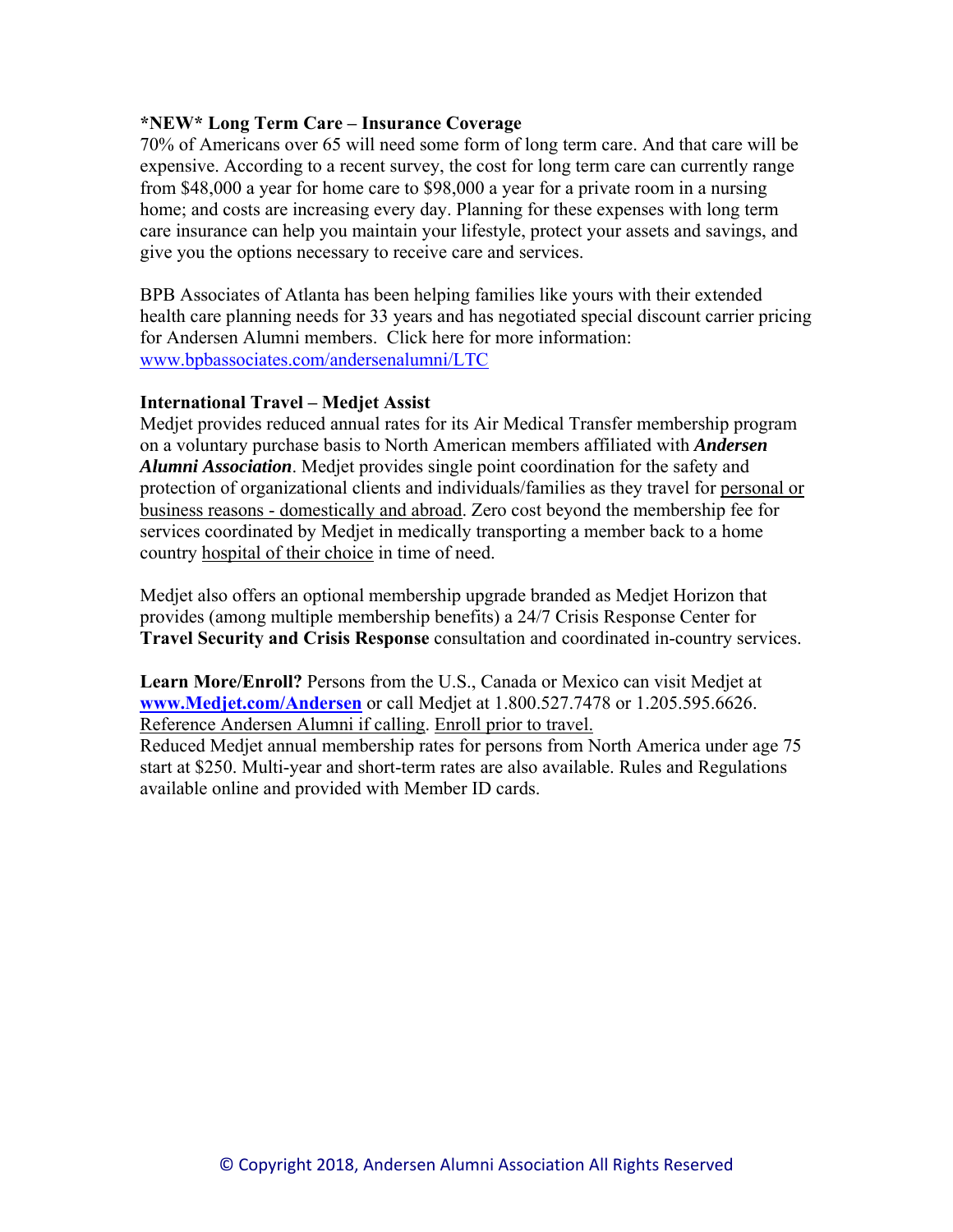#### **\*NEW\* Long Term Care – Insurance Coverage**

70% of Americans over 65 will need some form of long term care. And that care will be expensive. According to a recent survey, the cost for long term care can currently range from \$48,000 a year for home care to \$98,000 a year for a private room in a nursing home; and costs are increasing every day. Planning for these expenses with long term care insurance can help you maintain your lifestyle, protect your assets and savings, and give you the options necessary to receive care and services.

BPB Associates of Atlanta has been helping families like yours with their extended health care planning needs for 33 years and has negotiated special discount carrier pricing for Andersen Alumni members. Click here for more information: www.bpbassociates.com/andersenalumni/LTC

#### **International Travel – Medjet Assist**

Medjet provides reduced annual rates for its Air Medical Transfer membership program on a voluntary purchase basis to North American members affiliated with *Andersen Alumni Association*. Medjet provides single point coordination for the safety and protection of organizational clients and individuals/families as they travel for personal or business reasons - domestically and abroad. Zero cost beyond the membership fee for services coordinated by Medjet in medically transporting a member back to a home country hospital of their choice in time of need.

Medjet also offers an optional membership upgrade branded as Medjet Horizon that provides (among multiple membership benefits) a 24/7 Crisis Response Center for **Travel Security and Crisis Response** consultation and coordinated in-country services.

**Learn More/Enroll?** Persons from the U.S., Canada or Mexico can visit Medjet at **www.Medjet.com/Andersen** or call Medjet at 1.800.527.7478 or 1.205.595.6626. Reference Andersen Alumni if calling. Enroll prior to travel.

Reduced Medjet annual membership rates for persons from North America under age 75 start at \$250. Multi-year and short-term rates are also available. Rules and Regulations available online and provided with Member ID cards.